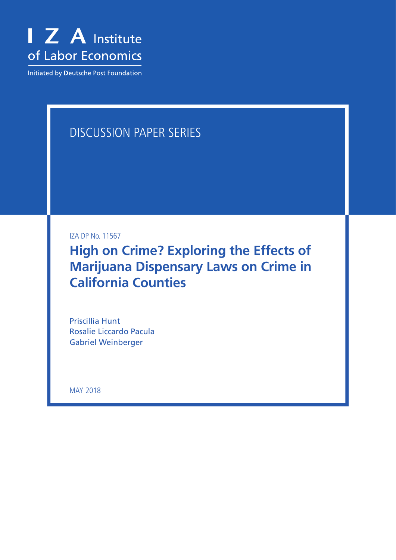

Initiated by Deutsche Post Foundation

# DISCUSSION PAPER SERIES

IZA DP No. 11567

**High on Crime? Exploring the Effects of Marijuana Dispensary Laws on Crime in California Counties**

Priscillia Hunt Rosalie Liccardo Pacula Gabriel Weinberger

MAY 2018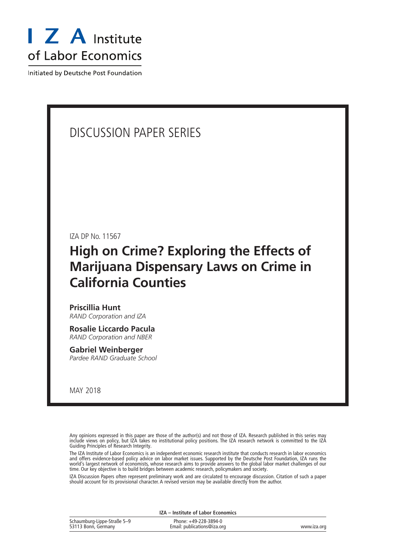

Initiated by Deutsche Post Foundation

### DISCUSSION PAPER SERIES

IZA DP No. 11567

# **High on Crime? Exploring the Effects of Marijuana Dispensary Laws on Crime in California Counties**

#### **Priscillia Hunt** *RAND Corporation and IZA*

**Rosalie Liccardo Pacula** *RAND Corporation and NBER*

### **Gabriel Weinberger**

*Pardee RAND Graduate School*

MAY 2018

Any opinions expressed in this paper are those of the author(s) and not those of IZA. Research published in this series may include views on policy, but IZA takes no institutional policy positions. The IZA research network is committed to the IZA Guiding Principles of Research Integrity.

The IZA Institute of Labor Economics is an independent economic research institute that conducts research in labor economics and offers evidence-based policy advice on labor market issues. Supported by the Deutsche Post Foundation, IZA runs the world's largest network of economists, whose research aims to provide answers to the global labor market challenges of our time. Our key objective is to build bridges between academic research, policymakers and society.

IZA Discussion Papers often represent preliminary work and are circulated to encourage discussion. Citation of such a paper should account for its provisional character. A revised version may be available directly from the author.

| IZA – Institute of Labor Economics                 |                                                      |             |  |  |  |
|----------------------------------------------------|------------------------------------------------------|-------------|--|--|--|
| Schaumburg-Lippe-Straße 5-9<br>53113 Bonn, Germany | Phone: +49-228-3894-0<br>Email: publications@iza.org | www.iza.org |  |  |  |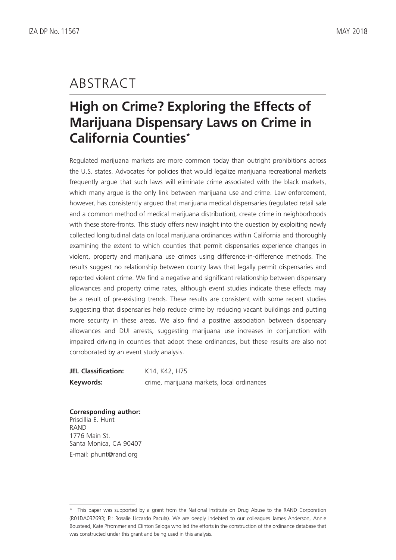## ABSTRACT

# **High on Crime? Exploring the Effects of Marijuana Dispensary Laws on Crime in California Counties\***

Regulated marijuana markets are more common today than outright prohibitions across the U.S. states. Advocates for policies that would legalize marijuana recreational markets frequently argue that such laws will eliminate crime associated with the black markets, which many argue is the only link between marijuana use and crime. Law enforcement, however, has consistently argued that marijuana medical dispensaries (regulated retail sale and a common method of medical marijuana distribution), create crime in neighborhoods with these store-fronts. This study offers new insight into the question by exploiting newly collected longitudinal data on local marijuana ordinances within California and thoroughly examining the extent to which counties that permit dispensaries experience changes in violent, property and marijuana use crimes using difference-in-difference methods. The results suggest no relationship between county laws that legally permit dispensaries and reported violent crime. We find a negative and significant relationship between dispensary allowances and property crime rates, although event studies indicate these effects may be a result of pre-existing trends. These results are consistent with some recent studies suggesting that dispensaries help reduce crime by reducing vacant buildings and putting more security in these areas. We also find a positive association between dispensary allowances and DUI arrests, suggesting marijuana use increases in conjunction with impaired driving in counties that adopt these ordinances, but these results are also not corroborated by an event study analysis.

**JEL Classification:** K14, K42, H75 **Keywords:** crime, marijuana markets, local ordinances

**Corresponding author:** Priscillia E. Hunt RAND 1776 Main St. Santa Monica, CA 90407 E-mail: phunt@rand.org

<sup>\*</sup> This paper was supported by a grant from the National Institute on Drug Abuse to the RAND Corporation (R01DA032693; PI: Rosalie Liccardo Pacula). We are deeply indebted to our colleagues James Anderson, Annie Boustead, Kate Pfrommer and Clinton Saloga who led the efforts in the construction of the ordinance database that was constructed under this grant and being used in this analysis.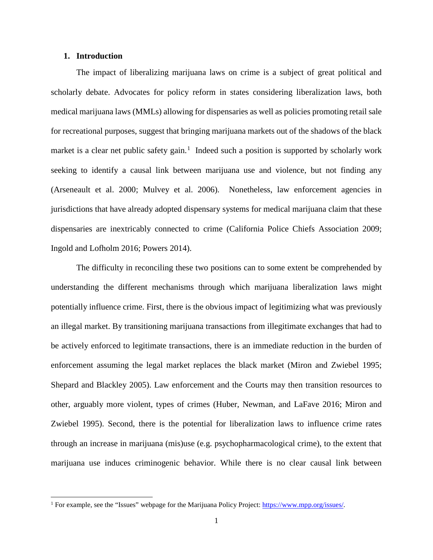#### **1. Introduction**

 $\overline{a}$ 

The impact of liberalizing marijuana laws on crime is a subject of great political and scholarly debate. Advocates for policy reform in states considering liberalization laws, both medical marijuana laws (MMLs) allowing for dispensaries as well as policies promoting retail sale for recreational purposes, suggest that bringing marijuana markets out of the shadows of the black market is a clear net public safety gain.<sup>[1](#page-3-0)</sup> Indeed such a position is supported by scholarly work seeking to identify a causal link between marijuana use and violence, but not finding any [\(Arseneault et al. 2000;](#page-32-0) [Mulvey et al. 2006\)](#page-34-0). Nonetheless, law enforcement agencies in jurisdictions that have already adopted dispensary systems for medical marijuana claim that these dispensaries are inextricably connected to crime [\(California Police Chiefs Association 2009;](#page-32-1) [Ingold and Lofholm 2016;](#page-33-0) [Powers 2014\)](#page-34-1).

The difficulty in reconciling these two positions can to some extent be comprehended by understanding the different mechanisms through which marijuana liberalization laws might potentially influence crime. First, there is the obvious impact of legitimizing what was previously an illegal market. By transitioning marijuana transactions from illegitimate exchanges that had to be actively enforced to legitimate transactions, there is an immediate reduction in the burden of enforcement assuming the legal market replaces the black market [\(Miron and Zwiebel 1995;](#page-34-2) [Shepard and Blackley 2005\)](#page-34-3). Law enforcement and the Courts may then transition resources to other, arguably more violent, types of crimes [\(Huber, Newman, and LaFave 2016;](#page-33-1) [Miron and](#page-34-2)  [Zwiebel 1995\)](#page-34-2). Second, there is the potential for liberalization laws to influence crime rates through an increase in marijuana (mis)use (e.g. psychopharmacological crime), to the extent that marijuana use induces criminogenic behavior. While there is no clear causal link between

<span id="page-3-0"></span><sup>&</sup>lt;sup>1</sup> For example, see the "Issues" webpage for the Marijuana Policy Project: [https://www.mpp.org/issues/.](https://www.mpp.org/issues/)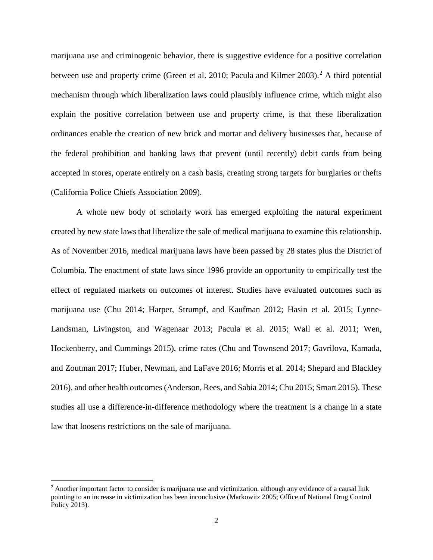marijuana use and criminogenic behavior, there is suggestive evidence for a positive correlation between use and property crime [\(Green et al. 2010;](#page-33-2) [Pacula and Kilmer 2003\)](#page-34-4).<sup>[2](#page-4-0)</sup> A third potential mechanism through which liberalization laws could plausibly influence crime, which might also explain the positive correlation between use and property crime, is that these liberalization ordinances enable the creation of new brick and mortar and delivery businesses that, because of the federal prohibition and banking laws that prevent (until recently) debit cards from being accepted in stores, operate entirely on a cash basis, creating strong targets for burglaries or thefts [\(California Police Chiefs Association 2009\)](#page-32-1).

A whole new body of scholarly work has emerged exploiting the natural experiment created by new state laws that liberalize the sale of medical marijuana to examine this relationship. As of November 2016, medical marijuana laws have been passed by 28 states plus the District of Columbia. The enactment of state laws since 1996 provide an opportunity to empirically test the effect of regulated markets on outcomes of interest. Studies have evaluated outcomes such as marijuana use [\(Chu 2014;](#page-32-2) [Harper, Strumpf, and Kaufman 2012;](#page-33-3) [Hasin et al. 2015;](#page-33-4) [Lynne-](#page-33-5)[Landsman, Livingston, and Wagenaar 2013;](#page-33-5) [Pacula et al. 2015;](#page-34-5) [Wall et al. 2011;](#page-35-0) [Wen,](#page-35-1)  [Hockenberry, and Cummings 2015\)](#page-35-1), crime rates [\(Chu and Townsend 2017;](#page-32-3) [Gavrilova, Kamada,](#page-33-6)  [and Zoutman 2017;](#page-33-6) [Huber, Newman, and LaFave 2016;](#page-33-1) [Morris et al. 2014;](#page-34-6) [Shepard and Blackley](#page-35-2)  [2016\)](#page-35-2), and other health outcomes [\(Anderson, Rees, and Sabia 2014;](#page-32-4) [Chu 2015;](#page-32-5) [Smart 2015\)](#page-35-3). These studies all use a difference-in-difference methodology where the treatment is a change in a state law that loosens restrictions on the sale of marijuana.

 $\overline{\phantom{a}}$ 

<span id="page-4-1"></span><span id="page-4-0"></span><sup>&</sup>lt;sup>2</sup> Another important factor to consider is marijuana use and victimization, although any evidence of a causal link pointing to an increase in victimization has been inconclusive [\(Markowitz 2005;](#page-34-7) [Office of National Drug Control](#page-34-8)  [Policy 2013\)](#page-34-8).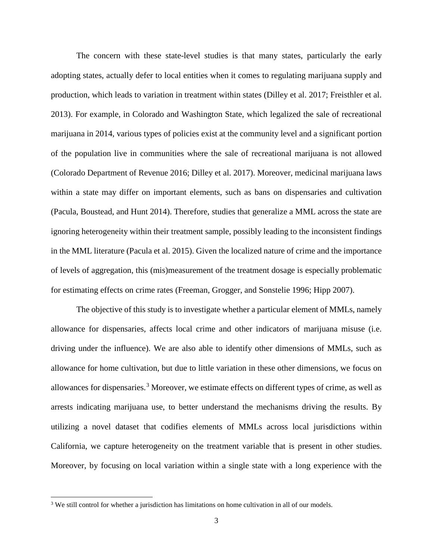The concern with these state-level studies is that many states, particularly the early adopting states, actually defer to local entities when it comes to regulating marijuana supply and production, which leads to variation in treatment within states [\(Dilley et al. 2017;](#page-32-6) [Freisthler et al.](#page-33-7)  [2013\)](#page-33-7). For example, in Colorado and Washington State, which legalized the sale of recreational marijuana in 2014, various types of policies exist at the community level and a significant portion of the population live in communities where the sale of recreational marijuana is not allowed [\(Colorado Department of Revenue 2016;](#page-32-7) [Dilley et al. 2017\)](#page-32-6). Moreover, medicinal marijuana laws within a state may differ on important elements, such as bans on dispensaries and cultivation [\(Pacula, Boustead, and Hunt 2014\)](#page-34-9). Therefore, studies that generalize a MML across the state are ignoring heterogeneity within their treatment sample, possibly leading to the inconsistent findings in the MML literature [\(Pacula et al. 2015\)](#page-34-5). Given the localized nature of crime and the importance of levels of aggregation, this (mis)measurement of the treatment dosage is especially problematic for estimating effects on crime rates [\(Freeman, Grogger, and Sonstelie 1996;](#page-33-8) [Hipp 2007\)](#page-33-9).

The objective of this study is to investigate whether a particular element of MMLs, namely allowance for dispensaries, affects local crime and other indicators of marijuana misuse (i.e. driving under the influence). We are also able to identify other dimensions of MMLs, such as allowance for home cultivation, but due to little variation in these other dimensions, we focus on allowances for dispensaries.<sup>[3](#page-4-1)</sup> Moreover, we estimate effects on different types of crime, as well as arrests indicating marijuana use, to better understand the mechanisms driving the results. By utilizing a novel dataset that codifies elements of MMLs across local jurisdictions within California, we capture heterogeneity on the treatment variable that is present in other studies. Moreover, by focusing on local variation within a single state with a long experience with the

 $\overline{a}$ 

<sup>&</sup>lt;sup>3</sup> We still control for whether a jurisdiction has limitations on home cultivation in all of our models.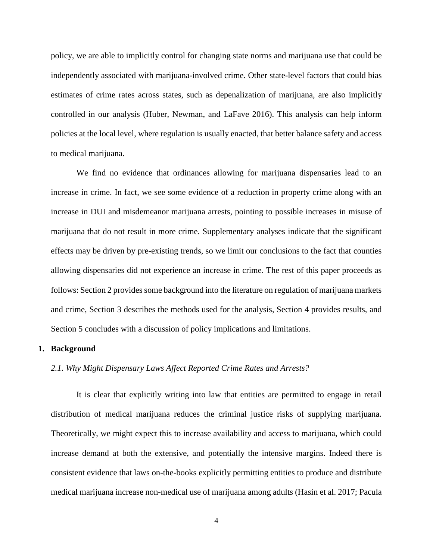policy, we are able to implicitly control for changing state norms and marijuana use that could be independently associated with marijuana-involved crime. Other state-level factors that could bias estimates of crime rates across states, such as depenalization of marijuana, are also implicitly controlled in our analysis [\(Huber, Newman, and LaFave 2016\)](#page-33-1). This analysis can help inform policies at the local level, where regulation is usually enacted, that better balance safety and access to medical marijuana.

We find no evidence that ordinances allowing for marijuana dispensaries lead to an increase in crime. In fact, we see some evidence of a reduction in property crime along with an increase in DUI and misdemeanor marijuana arrests, pointing to possible increases in misuse of marijuana that do not result in more crime. Supplementary analyses indicate that the significant effects may be driven by pre-existing trends, so we limit our conclusions to the fact that counties allowing dispensaries did not experience an increase in crime. The rest of this paper proceeds as follows: Section 2 provides some background into the literature on regulation of marijuana markets and crime, Section 3 describes the methods used for the analysis, Section 4 provides results, and Section 5 concludes with a discussion of policy implications and limitations.

#### **1. Background**

#### *2.1. Why Might Dispensary Laws Affect Reported Crime Rates and Arrests?*

It is clear that explicitly writing into law that entities are permitted to engage in retail distribution of medical marijuana reduces the criminal justice risks of supplying marijuana. Theoretically, we might expect this to increase availability and access to marijuana, which could increase demand at both the extensive, and potentially the intensive margins. Indeed there is consistent evidence that laws on-the-books explicitly permitting entities to produce and distribute medical marijuana increase non-medical use of marijuana among adults [\(Hasin et al. 2017;](#page-33-10) [Pacula](#page-34-5)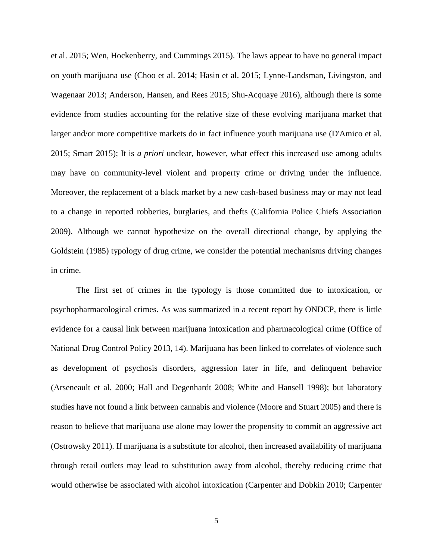[et al. 2015;](#page-34-5) [Wen, Hockenberry, and Cummings 2015\)](#page-35-1). The laws appear to have no general impact on youth marijuana use [\(Choo et al. 2014;](#page-32-8) [Hasin et al. 2015;](#page-33-4) [Lynne-Landsman, Livingston, and](#page-33-5)  [Wagenaar 2013;](#page-33-5) [Anderson, Hansen, and Rees 2015;](#page-32-9) [Shu-Acquaye 2016\)](#page-35-4), although there is some evidence from studies accounting for the relative size of these evolving marijuana market that larger and/or more competitive markets do in fact influence youth marijuana use [\(D'Amico et al.](#page-32-10)  [2015;](#page-32-10) [Smart 2015\)](#page-35-3); It is *a priori* unclear, however, what effect this increased use among adults may have on community-level violent and property crime or driving under the influence. Moreover, the replacement of a black market by a new cash-based business may or may not lead to a change in reported robberies, burglaries, and thefts [\(California Police Chiefs Association](#page-32-1)  [2009\)](#page-32-1). Although we cannot hypothesize on the overall directional change, by applying the Goldstein [\(1985\)](#page-33-11) typology of drug crime, we consider the potential mechanisms driving changes in crime.

The first set of crimes in the typology is those committed due to intoxication, or psychopharmacological crimes. As was summarized in a recent report by ONDCP, there is little evidence for a causal link between marijuana intoxication and pharmacological crime [\(Office of](#page-34-8)  [National Drug Control Policy 2013, 14\)](#page-34-8). Marijuana has been linked to correlates of violence such as development of psychosis disorders, aggression later in life, and delinquent behavior [\(Arseneault et al. 2000;](#page-32-0) [Hall and Degenhardt 2008;](#page-33-12) [White and Hansell 1998\)](#page-35-5); but laboratory studies have not found a link between cannabis and violence [\(Moore and Stuart 2005\)](#page-34-10) and there is reason to believe that marijuana use alone may lower the propensity to commit an aggressive act [\(Ostrowsky 2011\)](#page-34-11). If marijuana is a substitute for alcohol, then increased availability of marijuana through retail outlets may lead to substitution away from alcohol, thereby reducing crime that would otherwise be associated with alcohol intoxication [\(Carpenter and Dobkin 2010;](#page-32-11) [Carpenter](#page-32-12)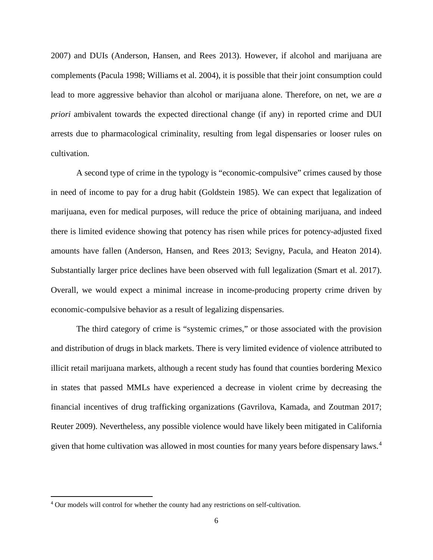[2007\)](#page-32-12) and DUIs [\(Anderson, Hansen, and Rees 2013\)](#page-32-13). However, if alcohol and marijuana are complements [\(Pacula 1998;](#page-34-12) [Williams et al. 2004\)](#page-35-6), it is possible that their joint consumption could lead to more aggressive behavior than alcohol or marijuana alone. Therefore, on net, we are *a priori* ambivalent towards the expected directional change (if any) in reported crime and DUI arrests due to pharmacological criminality, resulting from legal dispensaries or looser rules on cultivation.

A second type of crime in the typology is "economic-compulsive" crimes caused by those in need of income to pay for a drug habit [\(Goldstein 1985\)](#page-33-11). We can expect that legalization of marijuana, even for medical purposes, will reduce the price of obtaining marijuana, and indeed there is limited evidence showing that potency has risen while prices for potency-adjusted fixed amounts have fallen [\(Anderson, Hansen, and Rees 2013;](#page-32-13) [Sevigny, Pacula, and Heaton 2014\)](#page-34-13). Substantially larger price declines have been observed with full legalization [\(Smart et al. 2017\)](#page-35-7). Overall, we would expect a minimal increase in income-producing property crime driven by economic-compulsive behavior as a result of legalizing dispensaries.

The third category of crime is "systemic crimes," or those associated with the provision and distribution of drugs in black markets. There is very limited evidence of violence attributed to illicit retail marijuana markets, although a recent study has found that counties bordering Mexico in states that passed MMLs have experienced a decrease in violent crime by decreasing the financial incentives of drug trafficking organizations [\(Gavrilova, Kamada, and Zoutman 2017;](#page-33-6) [Reuter 2009\)](#page-34-14). Nevertheless, any possible violence would have likely been mitigated in California given that home cultivation was allowed in most counties for many years before dispensary laws. [4](#page-8-0)

<span id="page-8-0"></span> <sup>4</sup> Our models will control for whether the county had any restrictions on self-cultivation.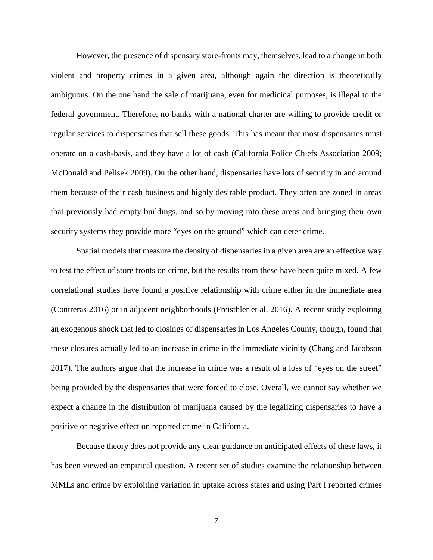However, the presence of dispensary store-fronts may, themselves, lead to a change in both violent and property crimes in a given area, although again the direction is theoretically ambiguous. On the one hand the sale of marijuana, even for medicinal purposes, is illegal to the federal government. Therefore, no banks with a national charter are willing to provide credit or regular services to dispensaries that sell these goods. This has meant that most dispensaries must operate on a cash-basis, and they have a lot of cash [\(California Police Chiefs Association 2009;](#page-32-1) [McDonald and Pelisek 2009\)](#page-34-15). On the other hand, dispensaries have lots of security in and around them because of their cash business and highly desirable product. They often are zoned in areas that previously had empty buildings, and so by moving into these areas and bringing their own security systems they provide more "eyes on the ground" which can deter crime.

Spatial models that measure the density of dispensaries in a given area are an effective way to test the effect of store fronts on crime, but the results from these have been quite mixed. A few correlational studies have found a positive relationship with crime either in the immediate area [\(Contreras 2016\)](#page-32-14) or in adjacent neighborhoods [\(Freisthler et al. 2016\)](#page-33-13). A recent study exploiting an exogenous shock that led to closings of dispensaries in Los Angeles County, though, found that these closures actually led to an increase in crime in the immediate vicinity [\(Chang and Jacobson](#page-32-15)  [2017\)](#page-32-15). The authors argue that the increase in crime was a result of a loss of "eyes on the street" being provided by the dispensaries that were forced to close. Overall, we cannot say whether we expect a change in the distribution of marijuana caused by the legalizing dispensaries to have a positive or negative effect on reported crime in California.

Because theory does not provide any clear guidance on anticipated effects of these laws, it has been viewed an empirical question. A recent set of studies examine the relationship between MMLs and crime by exploiting variation in uptake across states and using Part I reported crimes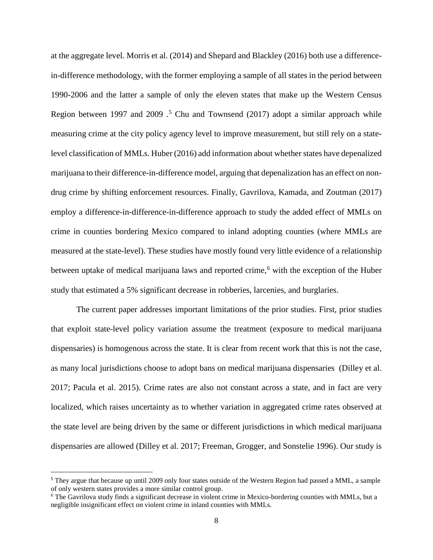at the aggregate level. Morris et al. [\(2014\)](#page-34-6) and Shepard and Blackley [\(2016\)](#page-35-2) both use a differencein-difference methodology, with the former employing a sample of all states in the period between 1990-2006 and the latter a sample of only the eleven states that make up the Western Census Region between 1997 and 2009  $\cdot$ <sup>[5](#page-10-0)</sup> Chu and Townsend [\(2017\)](#page-32-3) adopt a similar approach while measuring crime at the city policy agency level to improve measurement, but still rely on a statelevel classification of MMLs. Huber [\(2016\)](#page-33-1) add information about whether states have depenalized marijuana to their difference-in-difference model, arguing that depenalization has an effect on nondrug crime by shifting enforcement resources. Finally, Gavrilova, Kamada, and Zoutman [\(2017\)](#page-33-6) employ a difference-in-difference-in-difference approach to study the added effect of MMLs on crime in counties bordering Mexico compared to inland adopting counties (where MMLs are measured at the state-level). These studies have mostly found very little evidence of a relationship between uptake of medical marijuana laws and reported crime,<sup>[6](#page-10-1)</sup> with the exception of the Huber study that estimated a 5% significant decrease in robberies, larcenies, and burglaries.

The current paper addresses important limitations of the prior studies. First, prior studies that exploit state-level policy variation assume the treatment (exposure to medical marijuana dispensaries) is homogenous across the state. It is clear from recent work that this is not the case, as many local jurisdictions choose to adopt bans on medical marijuana dispensaries [\(Dilley et al.](#page-32-6)  [2017;](#page-32-6) [Pacula et al. 2015\)](#page-34-5). Crime rates are also not constant across a state, and in fact are very localized, which raises uncertainty as to whether variation in aggregated crime rates observed at the state level are being driven by the same or different jurisdictions in which medical marijuana dispensaries are allowed [\(Dilley et al. 2017;](#page-32-6) [Freeman, Grogger, and Sonstelie 1996\)](#page-33-8). Our study is

<span id="page-10-0"></span> <sup>5</sup> They argue that because up until 2009 only four states outside of the Western Region had passed a MML, a sample of only western states provides a more similar control group.

<span id="page-10-1"></span><sup>6</sup> The Gavrilova study finds a significant decrease in violent crime in Mexico-bordering counties with MMLs, but a negligible insignificant effect on violent crime in inland counties with MMLs.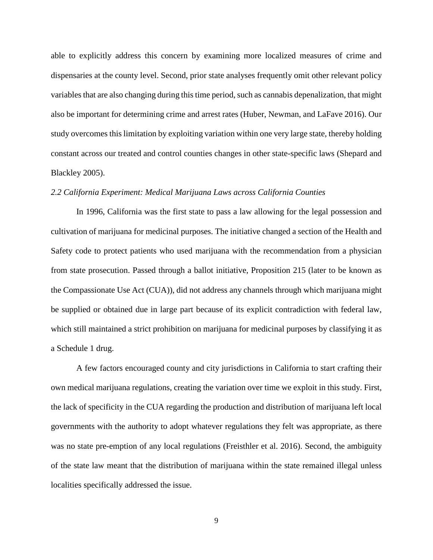able to explicitly address this concern by examining more localized measures of crime and dispensaries at the county level. Second, prior state analyses frequently omit other relevant policy variables that are also changing during this time period, such as cannabis depenalization, that might also be important for determining crime and arrest rates [\(Huber, Newman, and LaFave 2016\)](#page-33-1). Our study overcomes this limitation by exploiting variation within one very large state, thereby holding constant across our treated and control counties changes in other state-specific laws [\(Shepard and](#page-34-3)  [Blackley 2005\)](#page-34-3).

#### *2.2 California Experiment: Medical Marijuana Laws across California Counties*

In 1996, California was the first state to pass a law allowing for the legal possession and cultivation of marijuana for medicinal purposes. The initiative changed a section of the Health and Safety code to protect patients who used marijuana with the recommendation from a physician from state prosecution. Passed through a ballot initiative, Proposition 215 (later to be known as the Compassionate Use Act (CUA)), did not address any channels through which marijuana might be supplied or obtained due in large part because of its explicit contradiction with federal law, which still maintained a strict prohibition on marijuana for medicinal purposes by classifying it as a Schedule 1 drug.

A few factors encouraged county and city jurisdictions in California to start crafting their own medical marijuana regulations, creating the variation over time we exploit in this study. First, the lack of specificity in the CUA regarding the production and distribution of marijuana left local governments with the authority to adopt whatever regulations they felt was appropriate, as there was no state pre-emption of any local regulations [\(Freisthler et al. 2016\)](#page-33-13). Second, the ambiguity of the state law meant that the distribution of marijuana within the state remained illegal unless localities specifically addressed the issue.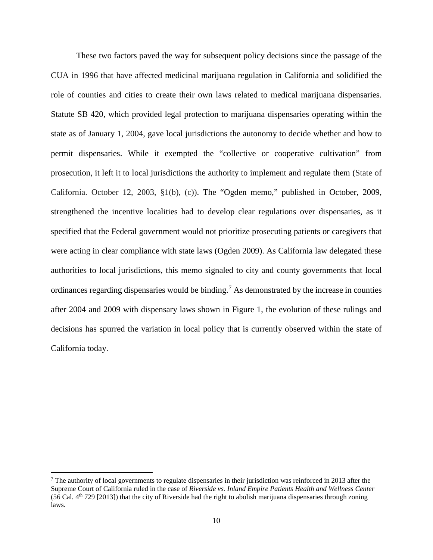These two factors paved the way for subsequent policy decisions since the passage of the CUA in 1996 that have affected medicinal marijuana regulation in California and solidified the role of counties and cities to create their own laws related to medical marijuana dispensaries. Statute SB 420, which provided legal protection to marijuana dispensaries operating within the state as of January 1, 2004, gave local jurisdictions the autonomy to decide whether and how to permit dispensaries. While it exempted the "collective or cooperative cultivation" from prosecution, it left it to local jurisdictions the authority to implement and regulate them (State of California. October 12, 2003, §1(b), (c)). The "Ogden memo," published in October, 2009, strengthened the incentive localities had to develop clear regulations over dispensaries, as it specified that the Federal government would not prioritize prosecuting patients or caregivers that were acting in clear compliance with state laws [\(Ogden 2009\)](#page-34-16). As California law delegated these authorities to local jurisdictions, this memo signaled to city and county governments that local ordinances regarding dispensaries would be binding.<sup>[7](#page-12-0)</sup> As demonstrated by the increase in counties after 2004 and 2009 with dispensary laws shown in Figure 1, the evolution of these rulings and decisions has spurred the variation in local policy that is currently observed within the state of California today.

 $\overline{a}$ 

<span id="page-12-0"></span><sup>7</sup> The authority of local governments to regulate dispensaries in their jurisdiction was reinforced in 2013 after the Supreme Court of California ruled in the case of *Riverside vs. Inland Empire Patients Health and Wellness Center* (56 Cal.  $4<sup>th</sup>$  729 [2013]) that the city of Riverside had the right to abolish marijuana dispensaries through zoning laws.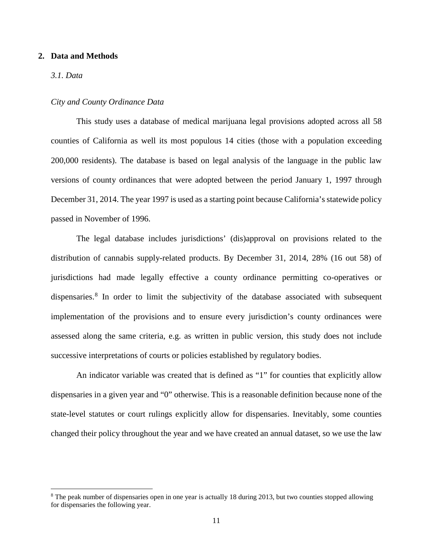#### **2. Data and Methods**

#### *3.1. Data*

l

#### *City and County Ordinance Data*

This study uses a database of medical marijuana legal provisions adopted across all 58 counties of California as well its most populous 14 cities (those with a population exceeding 200,000 residents). The database is based on legal analysis of the language in the public law versions of county ordinances that were adopted between the period January 1, 1997 through December 31, 2014. The year 1997 is used as a starting point because California's statewide policy passed in November of 1996.

The legal database includes jurisdictions' (dis)approval on provisions related to the distribution of cannabis supply-related products. By December 31, 2014, 28% (16 out 58) of jurisdictions had made legally effective a county ordinance permitting co-operatives or dispensaries.<sup>[8](#page-13-0)</sup> In order to limit the subjectivity of the database associated with subsequent implementation of the provisions and to ensure every jurisdiction's county ordinances were assessed along the same criteria, e.g. as written in public version, this study does not include successive interpretations of courts or policies established by regulatory bodies.

An indicator variable was created that is defined as "1" for counties that explicitly allow dispensaries in a given year and "0" otherwise. This is a reasonable definition because none of the state-level statutes or court rulings explicitly allow for dispensaries. Inevitably, some counties changed their policy throughout the year and we have created an annual dataset, so we use the law

<span id="page-13-0"></span><sup>&</sup>lt;sup>8</sup> The peak number of dispensaries open in one year is actually 18 during 2013, but two counties stopped allowing for dispensaries the following year.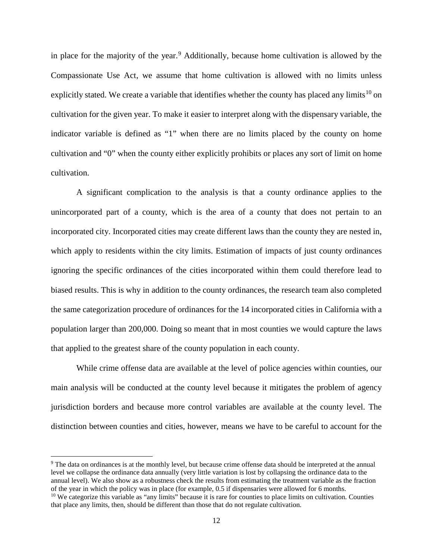in place for the majority of the year.<sup>[9](#page-14-0)</sup> Additionally, because home cultivation is allowed by the Compassionate Use Act, we assume that home cultivation is allowed with no limits unless explicitly stated. We create a variable that identifies whether the county has placed any limits<sup>[10](#page-14-1)</sup> on cultivation for the given year. To make it easier to interpret along with the dispensary variable, the indicator variable is defined as "1" when there are no limits placed by the county on home cultivation and "0" when the county either explicitly prohibits or places any sort of limit on home cultivation.

A significant complication to the analysis is that a county ordinance applies to the unincorporated part of a county, which is the area of a county that does not pertain to an incorporated city. Incorporated cities may create different laws than the county they are nested in, which apply to residents within the city limits. Estimation of impacts of just county ordinances ignoring the specific ordinances of the cities incorporated within them could therefore lead to biased results. This is why in addition to the county ordinances, the research team also completed the same categorization procedure of ordinances for the 14 incorporated cities in California with a population larger than 200,000. Doing so meant that in most counties we would capture the laws that applied to the greatest share of the county population in each county.

While crime offense data are available at the level of police agencies within counties, our main analysis will be conducted at the county level because it mitigates the problem of agency jurisdiction borders and because more control variables are available at the county level. The distinction between counties and cities, however, means we have to be careful to account for the

 $\overline{\phantom{a}}$ 

<span id="page-14-1"></span><span id="page-14-0"></span><sup>9</sup> The data on ordinances is at the monthly level, but because crime offense data should be interpreted at the annual level we collapse the ordinance data annually (very little variation is lost by collapsing the ordinance data to the annual level). We also show as a robustness check the results from estimating the treatment variable as the fraction of the year in which the policy was in place (for example, 0.5 if dispensaries were allowed for 6 months. <sup>10</sup> We categorize this variable as "any limits" because it is rare for counties to place limits on cultivation. Counties that place any limits, then, should be different than those that do not regulate cultivation.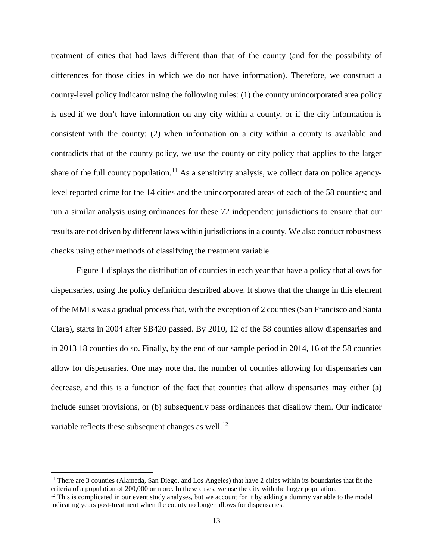treatment of cities that had laws different than that of the county (and for the possibility of differences for those cities in which we do not have information). Therefore, we construct a county-level policy indicator using the following rules: (1) the county unincorporated area policy is used if we don't have information on any city within a county, or if the city information is consistent with the county; (2) when information on a city within a county is available and contradicts that of the county policy, we use the county or city policy that applies to the larger share of the full county population.<sup>[11](#page-15-0)</sup> As a sensitivity analysis, we collect data on police agencylevel reported crime for the 14 cities and the unincorporated areas of each of the 58 counties; and run a similar analysis using ordinances for these 72 independent jurisdictions to ensure that our results are not driven by different laws within jurisdictions in a county. We also conduct robustness checks using other methods of classifying the treatment variable.

Figure 1 displays the distribution of counties in each year that have a policy that allows for dispensaries, using the policy definition described above. It shows that the change in this element of the MMLs was a gradual process that, with the exception of 2 counties (San Francisco and Santa Clara), starts in 2004 after SB420 passed. By 2010, 12 of the 58 counties allow dispensaries and in 2013 18 counties do so. Finally, by the end of our sample period in 2014, 16 of the 58 counties allow for dispensaries. One may note that the number of counties allowing for dispensaries can decrease, and this is a function of the fact that counties that allow dispensaries may either (a) include sunset provisions, or (b) subsequently pass ordinances that disallow them. Our indicator variable reflects these subsequent changes as well.<sup>[12](#page-15-1)</sup>

 $\overline{a}$ 

<span id="page-15-0"></span> $11$  There are 3 counties (Alameda, San Diego, and Los Angeles) that have 2 cities within its boundaries that fit the criteria of a population of 200,000 or more. In these cases, we use the city with the larger population.

<span id="page-15-1"></span> $12$  This is complicated in our event study analyses, but we account for it by adding a dummy variable to the model indicating years post-treatment when the county no longer allows for dispensaries.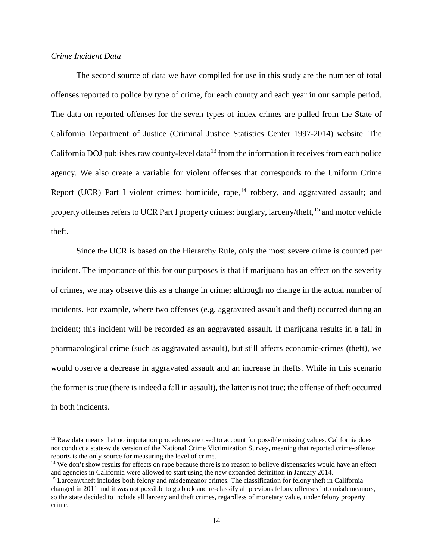#### *Crime Incident Data*

 $\overline{\phantom{a}}$ 

The second source of data we have compiled for use in this study are the number of total offenses reported to police by type of crime, for each county and each year in our sample period. The data on reported offenses for the seven types of index crimes are pulled from the State of California Department of Justice (Criminal Justice Statistics Center 1997-2014) website. The California DOJ publishes raw county-level data<sup>[13](#page-16-0)</sup> from the information it receives from each police agency. We also create a variable for violent offenses that corresponds to the Uniform Crime Report (UCR) Part I violent crimes: homicide, rape,  $14$  robbery, and aggravated assault; and property offenses refers to UCR Part I property crimes: burglary, larceny/theft, <sup>[15](#page-16-2)</sup> and motor vehicle theft.

Since the UCR is based on the Hierarchy Rule, only the most severe crime is counted per incident. The importance of this for our purposes is that if marijuana has an effect on the severity of crimes, we may observe this as a change in crime; although no change in the actual number of incidents. For example, where two offenses (e.g. aggravated assault and theft) occurred during an incident; this incident will be recorded as an aggravated assault. If marijuana results in a fall in pharmacological crime (such as aggravated assault), but still affects economic-crimes (theft), we would observe a decrease in aggravated assault and an increase in thefts. While in this scenario the former is true (there is indeed a fall in assault), the latter is not true; the offense of theft occurred in both incidents.

<span id="page-16-0"></span><sup>&</sup>lt;sup>13</sup> Raw data means that no imputation procedures are used to account for possible missing values. California does not conduct a state-wide version of the National Crime Victimization Survey, meaning that reported crime-offense reports is the only source for measuring the level of crime.

<span id="page-16-1"></span><sup>&</sup>lt;sup>14</sup> We don't show results for effects on rape because there is no reason to believe dispensaries would have an effect and agencies in California were allowed to start using the new expanded definition in January 2014.

<span id="page-16-2"></span><sup>&</sup>lt;sup>15</sup> Larceny/theft includes both felony and misdemeanor crimes. The classification for felony theft in California changed in 2011 and it was not possible to go back and re-classify all previous felony offenses into misdemeanors, so the state decided to include all larceny and theft crimes, regardless of monetary value, under felony property crime.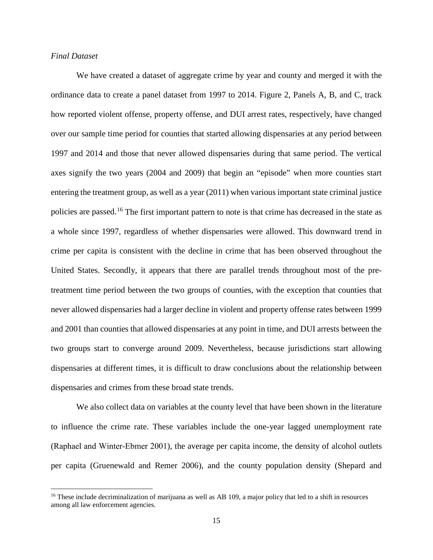#### *Final Dataset*

l

We have created a dataset of aggregate crime by year and county and merged it with the ordinance data to create a panel dataset from 1997 to 2014. Figure 2, Panels A, B, and C, track how reported violent offense, property offense, and DUI arrest rates, respectively, have changed over our sample time period for counties that started allowing dispensaries at any period between 1997 and 2014 and those that never allowed dispensaries during that same period. The vertical axes signify the two years (2004 and 2009) that begin an "episode" when more counties start entering the treatment group, as well as a year (2011) when various important state criminal justice policies are passed.<sup>[16](#page-17-0)</sup> The first important pattern to note is that crime has decreased in the state as a whole since 1997, regardless of whether dispensaries were allowed. This downward trend in crime per capita is consistent with the decline in crime that has been observed throughout the United States. Secondly, it appears that there are parallel trends throughout most of the pretreatment time period between the two groups of counties, with the exception that counties that never allowed dispensaries had a larger decline in violent and property offense rates between 1999 and 2001 than counties that allowed dispensaries at any point in time, and DUI arrests between the two groups start to converge around 2009. Nevertheless, because jurisdictions start allowing dispensaries at different times, it is difficult to draw conclusions about the relationship between dispensaries and crimes from these broad state trends.

We also collect data on variables at the county level that have been shown in the literature to influence the crime rate. These variables include the one-year lagged unemployment rate ([Raphael and Winter‐Ebmer 2001](#page-34-17)), the average per capita income, the density of alcohol outlets per capita [\(Gruenewald and Remer 2006\)](#page-33-14), and the county population density [\(Shepard and](#page-34-3) 

<span id="page-17-0"></span><sup>&</sup>lt;sup>16</sup> These include decriminalization of marijuana as well as AB 109, a major policy that led to a shift in resources among all law enforcement agencies.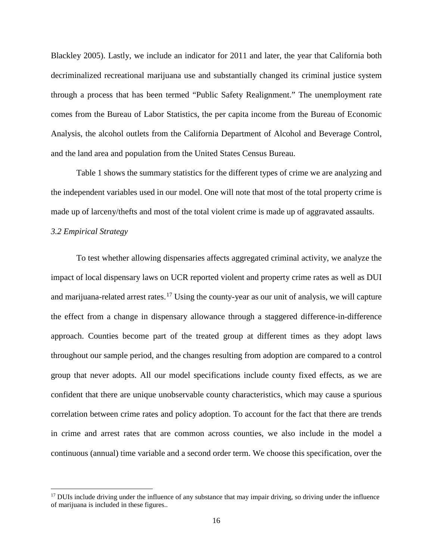[Blackley 2005\)](#page-34-3). Lastly, we include an indicator for 2011 and later, the year that California both decriminalized recreational marijuana use and substantially changed its criminal justice system through a process that has been termed "Public Safety Realignment." The unemployment rate comes from the Bureau of Labor Statistics, the per capita income from the Bureau of Economic Analysis, the alcohol outlets from the California Department of Alcohol and Beverage Control, and the land area and population from the United States Census Bureau.

Table 1 shows the summary statistics for the different types of crime we are analyzing and the independent variables used in our model. One will note that most of the total property crime is made up of larceny/thefts and most of the total violent crime is made up of aggravated assaults.

### *3.2 Empirical Strategy*

l

To test whether allowing dispensaries affects aggregated criminal activity, we analyze the impact of local dispensary laws on UCR reported violent and property crime rates as well as DUI and marijuana-related arrest rates.<sup>[17](#page-18-0)</sup> Using the county-year as our unit of analysis, we will capture the effect from a change in dispensary allowance through a staggered difference-in-difference approach. Counties become part of the treated group at different times as they adopt laws throughout our sample period, and the changes resulting from adoption are compared to a control group that never adopts. All our model specifications include county fixed effects, as we are confident that there are unique unobservable county characteristics, which may cause a spurious correlation between crime rates and policy adoption. To account for the fact that there are trends in crime and arrest rates that are common across counties, we also include in the model a continuous (annual) time variable and a second order term. We choose this specification, over the

<span id="page-18-0"></span> $17$  DUIs include driving under the influence of any substance that may impair driving, so driving under the influence of marijuana is included in these figures..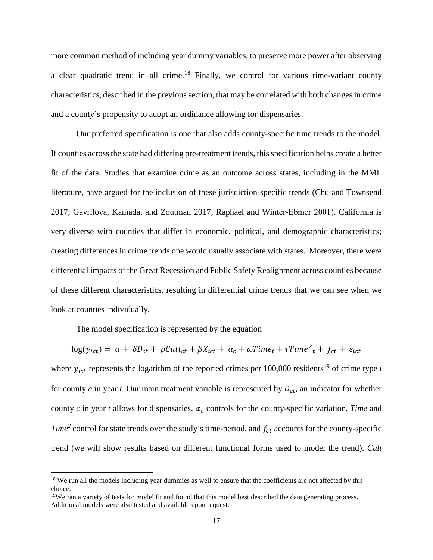more common method of including year dummy variables, to preserve more power after observing a clear quadratic trend in all crime.<sup>[18](#page-19-0)</sup> Finally, we control for various time-variant county characteristics, described in the previous section, that may be correlated with both changes in crime and a county's propensity to adopt an ordinance allowing for dispensaries.

Our preferred specification is one that also adds county-specific time trends to the model. If counties across the state had differing pre-treatment trends, this specification helps create a better fit of the data. Studies that examine crime as an outcome across states, including in the MML literature, have argued for the inclusion of these jurisdiction-specific trends [\(Chu and Townsend](#page-32-3)  [2017;](#page-32-3) [Gavrilova, Kamada, and Zoutman 2017;](#page-33-6) [Raphael and Wint](#page-34-17)er‐Ebmer 2001). California is very diverse with counties that differ in economic, political, and demographic characteristics; creating differences in crime trends one would usually associate with states. Moreover, there were differential impacts of the Great Recession and Public Safety Realignment across counties because of these different characteristics, resulting in differential crime trends that we can see when we look at counties individually.

The model specification is represented by the equation

 $\overline{a}$ 

 $\log(y_{ict}) = \alpha + \delta D_{ct} + \rho Cult_{ct} + \beta X_{ict} + \alpha_c + \omega Time_t + \tau Time_t^2 + f_{ct} + \varepsilon_{ict}$ 

where  $y_{ict}$  represents the logarithm of the reported crimes per 100,000 residents<sup>[19](#page-19-1)</sup> of crime type *i* for county  $c$  in year  $t$ . Our main treatment variable is represented by  $D_{ct}$ , an indicator for whether county  $c$  in year  $t$  allows for dispensaries.  $\alpha_c$  controls for the county-specific variation, *Time* and *Time*<sup>2</sup> control for state trends over the study's time-period, and  $f_{ct}$  accounts for the county-specific trend (we will show results based on different functional forms used to model the trend). *Cult*

<span id="page-19-0"></span><sup>&</sup>lt;sup>18</sup> We run all the models including year dummies as well to ensure that the coefficients are not affected by this choice.

<span id="page-19-1"></span><sup>&</sup>lt;sup>19</sup>We ran a variety of tests for model fit and found that this model best described the data generating process. Additional models were also tested and available upon request.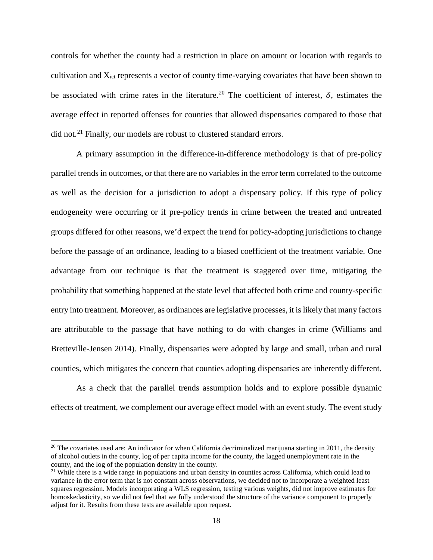controls for whether the county had a restriction in place on amount or location with regards to cultivation and  $X<sub>ict</sub>$  represents a vector of county time-varying covariates that have been shown to be associated with crime rates in the literature.<sup>[20](#page-20-0)</sup> The coefficient of interest,  $\delta$ , estimates the average effect in reported offenses for counties that allowed dispensaries compared to those that did not.[21](#page-20-1) Finally, our models are robust to clustered standard errors.

A primary assumption in the difference-in-difference methodology is that of pre-policy parallel trends in outcomes, or that there are no variables in the error term correlated to the outcome as well as the decision for a jurisdiction to adopt a dispensary policy. If this type of policy endogeneity were occurring or if pre-policy trends in crime between the treated and untreated groups differed for other reasons, we'd expect the trend for policy-adopting jurisdictions to change before the passage of an ordinance, leading to a biased coefficient of the treatment variable. One advantage from our technique is that the treatment is staggered over time, mitigating the probability that something happened at the state level that affected both crime and county-specific entry into treatment. Moreover, as ordinances are legislative processes, it is likely that many factors are attributable to the passage that have nothing to do with changes in crime [\(Williams and](#page-35-8)  [Bretteville-Jensen 2014\)](#page-35-8). Finally, dispensaries were adopted by large and small, urban and rural counties, which mitigates the concern that counties adopting dispensaries are inherently different.

As a check that the parallel trends assumption holds and to explore possible dynamic effects of treatment, we complement our average effect model with an event study. The event study

l

<span id="page-20-0"></span> $^{20}$  The covariates used are: An indicator for when California decriminalized marijuana starting in 2011, the density of alcohol outlets in the county, log of per capita income for the county, the lagged unemployment rate in the county, and the log of the population density in the county.

<span id="page-20-1"></span><sup>&</sup>lt;sup>21</sup> While there is a wide range in populations and urban density in counties across California, which could lead to variance in the error term that is not constant across observations, we decided not to incorporate a weighted least squares regression. Models incorporating a WLS regression, testing various weights, did not improve estimates for homoskedasticity, so we did not feel that we fully understood the structure of the variance component to properly adjust for it. Results from these tests are available upon request.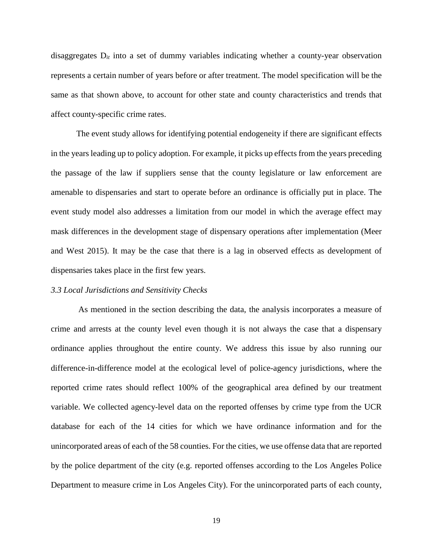disaggregates D*it* into a set of dummy variables indicating whether a county-year observation represents a certain number of years before or after treatment. The model specification will be the same as that shown above, to account for other state and county characteristics and trends that affect county-specific crime rates.

The event study allows for identifying potential endogeneity if there are significant effects in the years leading up to policy adoption. For example, it picks up effects from the years preceding the passage of the law if suppliers sense that the county legislature or law enforcement are amenable to dispensaries and start to operate before an ordinance is officially put in place. The event study model also addresses a limitation from our model in which the average effect may mask differences in the development stage of dispensary operations after implementation [\(Meer](#page-34-18)  [and West 2015\)](#page-34-18). It may be the case that there is a lag in observed effects as development of dispensaries takes place in the first few years.

#### *3.3 Local Jurisdictions and Sensitivity Checks*

As mentioned in the section describing the data, the analysis incorporates a measure of crime and arrests at the county level even though it is not always the case that a dispensary ordinance applies throughout the entire county. We address this issue by also running our difference-in-difference model at the ecological level of police-agency jurisdictions, where the reported crime rates should reflect 100% of the geographical area defined by our treatment variable. We collected agency-level data on the reported offenses by crime type from the UCR database for each of the 14 cities for which we have ordinance information and for the unincorporated areas of each of the 58 counties. For the cities, we use offense data that are reported by the police department of the city (e.g. reported offenses according to the Los Angeles Police Department to measure crime in Los Angeles City). For the unincorporated parts of each county,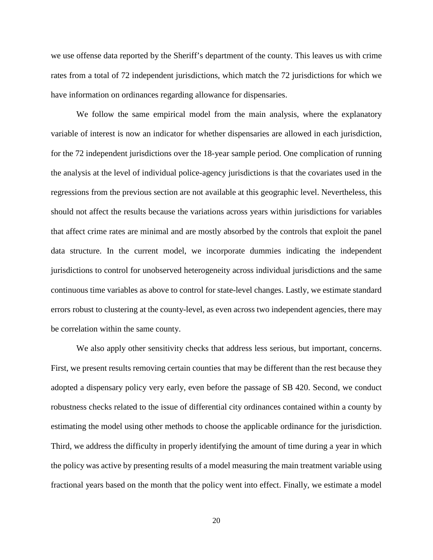we use offense data reported by the Sheriff's department of the county. This leaves us with crime rates from a total of 72 independent jurisdictions, which match the 72 jurisdictions for which we have information on ordinances regarding allowance for dispensaries.

We follow the same empirical model from the main analysis, where the explanatory variable of interest is now an indicator for whether dispensaries are allowed in each jurisdiction, for the 72 independent jurisdictions over the 18-year sample period. One complication of running the analysis at the level of individual police-agency jurisdictions is that the covariates used in the regressions from the previous section are not available at this geographic level. Nevertheless, this should not affect the results because the variations across years within jurisdictions for variables that affect crime rates are minimal and are mostly absorbed by the controls that exploit the panel data structure. In the current model, we incorporate dummies indicating the independent jurisdictions to control for unobserved heterogeneity across individual jurisdictions and the same continuous time variables as above to control for state-level changes. Lastly, we estimate standard errors robust to clustering at the county-level, as even across two independent agencies, there may be correlation within the same county.

We also apply other sensitivity checks that address less serious, but important, concerns. First, we present results removing certain counties that may be different than the rest because they adopted a dispensary policy very early, even before the passage of SB 420. Second, we conduct robustness checks related to the issue of differential city ordinances contained within a county by estimating the model using other methods to choose the applicable ordinance for the jurisdiction. Third, we address the difficulty in properly identifying the amount of time during a year in which the policy was active by presenting results of a model measuring the main treatment variable using fractional years based on the month that the policy went into effect. Finally, we estimate a model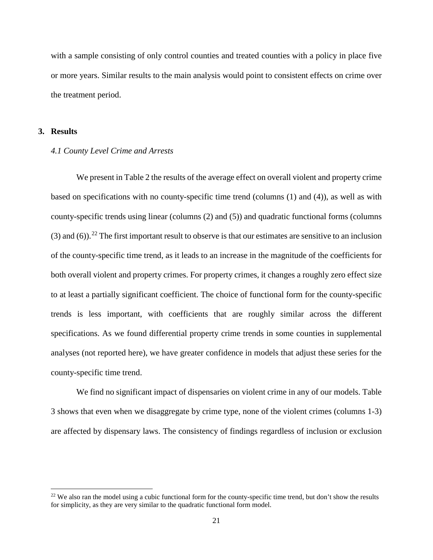with a sample consisting of only control counties and treated counties with a policy in place five or more years. Similar results to the main analysis would point to consistent effects on crime over the treatment period.

#### **3. Results**

l

#### *4.1 County Level Crime and Arrests*

We present in Table 2 the results of the average effect on overall violent and property crime based on specifications with no county-specific time trend (columns (1) and (4)), as well as with county-specific trends using linear (columns (2) and (5)) and quadratic functional forms (columns (3) and (6)).<sup>[22](#page-23-0)</sup> The first important result to observe is that our estimates are sensitive to an inclusion of the county-specific time trend, as it leads to an increase in the magnitude of the coefficients for both overall violent and property crimes. For property crimes, it changes a roughly zero effect size to at least a partially significant coefficient. The choice of functional form for the county-specific trends is less important, with coefficients that are roughly similar across the different specifications. As we found differential property crime trends in some counties in supplemental analyses (not reported here), we have greater confidence in models that adjust these series for the county-specific time trend.

We find no significant impact of dispensaries on violent crime in any of our models. Table 3 shows that even when we disaggregate by crime type, none of the violent crimes (columns 1-3) are affected by dispensary laws. The consistency of findings regardless of inclusion or exclusion

<span id="page-23-0"></span><sup>&</sup>lt;sup>22</sup> We also ran the model using a cubic functional form for the county-specific time trend, but don't show the results for simplicity, as they are very similar to the quadratic functional form model.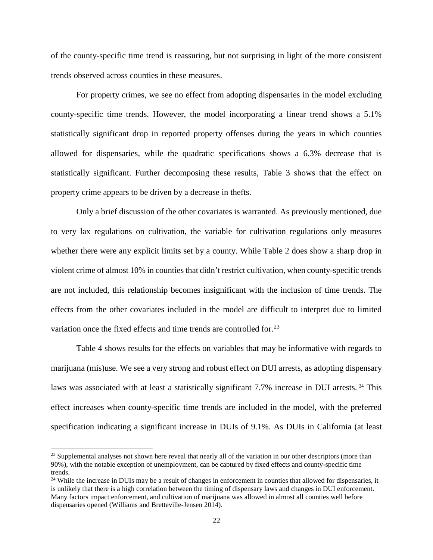of the county-specific time trend is reassuring, but not surprising in light of the more consistent trends observed across counties in these measures.

For property crimes, we see no effect from adopting dispensaries in the model excluding county-specific time trends. However, the model incorporating a linear trend shows a 5.1% statistically significant drop in reported property offenses during the years in which counties allowed for dispensaries, while the quadratic specifications shows a 6.3% decrease that is statistically significant. Further decomposing these results, Table 3 shows that the effect on property crime appears to be driven by a decrease in thefts.

Only a brief discussion of the other covariates is warranted. As previously mentioned, due to very lax regulations on cultivation, the variable for cultivation regulations only measures whether there were any explicit limits set by a county. While Table 2 does show a sharp drop in violent crime of almost 10% in counties that didn't restrict cultivation, when county-specific trends are not included, this relationship becomes insignificant with the inclusion of time trends. The effects from the other covariates included in the model are difficult to interpret due to limited variation once the fixed effects and time trends are controlled for.<sup>[23](#page-24-0)</sup>

Table 4 shows results for the effects on variables that may be informative with regards to marijuana (mis)use. We see a very strong and robust effect on DUI arrests, as adopting dispensary laws was associated with at least a statistically significant 7.7% increase in DUI arrests. <sup>[24](#page-24-1)</sup> This effect increases when county-specific time trends are included in the model, with the preferred specification indicating a significant increase in DUIs of 9.1%. As DUIs in California (at least

 $\overline{a}$ 

<span id="page-24-0"></span><sup>&</sup>lt;sup>23</sup> Supplemental analyses not shown here reveal that nearly all of the variation in our other descriptors (more than 90%), with the notable exception of unemployment, can be captured by fixed effects and county-specific time trends.

<span id="page-24-1"></span><sup>&</sup>lt;sup>24</sup> While the increase in DUIs may be a result of changes in enforcement in counties that allowed for dispensaries, it is unlikely that there is a high correlation between the timing of dispensary laws and changes in DUI enforcement. Many factors impact enforcement, and cultivation of marijuana was allowed in almost all counties well before dispensaries opened [\(Williams and Bretteville-Jensen 2014\)](#page-35-8).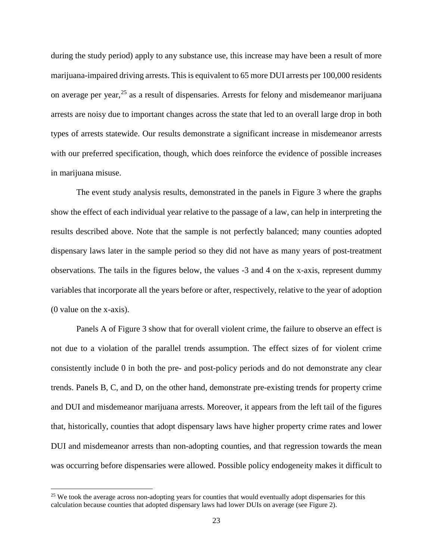during the study period) apply to any substance use, this increase may have been a result of more marijuana-impaired driving arrests. This is equivalent to 65 more DUI arrests per 100,000 residents on average per year,  $25$  as a result of dispensaries. Arrests for felony and misdemeanor marijuana arrests are noisy due to important changes across the state that led to an overall large drop in both types of arrests statewide. Our results demonstrate a significant increase in misdemeanor arrests with our preferred specification, though, which does reinforce the evidence of possible increases in marijuana misuse.

The event study analysis results, demonstrated in the panels in Figure 3 where the graphs show the effect of each individual year relative to the passage of a law, can help in interpreting the results described above. Note that the sample is not perfectly balanced; many counties adopted dispensary laws later in the sample period so they did not have as many years of post-treatment observations. The tails in the figures below, the values -3 and 4 on the x-axis, represent dummy variables that incorporate all the years before or after, respectively, relative to the year of adoption (0 value on the x-axis).

Panels A of Figure 3 show that for overall violent crime, the failure to observe an effect is not due to a violation of the parallel trends assumption. The effect sizes of for violent crime consistently include 0 in both the pre- and post-policy periods and do not demonstrate any clear trends. Panels B, C, and D, on the other hand, demonstrate pre-existing trends for property crime and DUI and misdemeanor marijuana arrests. Moreover, it appears from the left tail of the figures that, historically, counties that adopt dispensary laws have higher property crime rates and lower DUI and misdemeanor arrests than non-adopting counties, and that regression towards the mean was occurring before dispensaries were allowed. Possible policy endogeneity makes it difficult to

l

<span id="page-25-0"></span> $25$  We took the average across non-adopting years for counties that would eventually adopt dispensaries for this calculation because counties that adopted dispensary laws had lower DUIs on average (see Figure 2).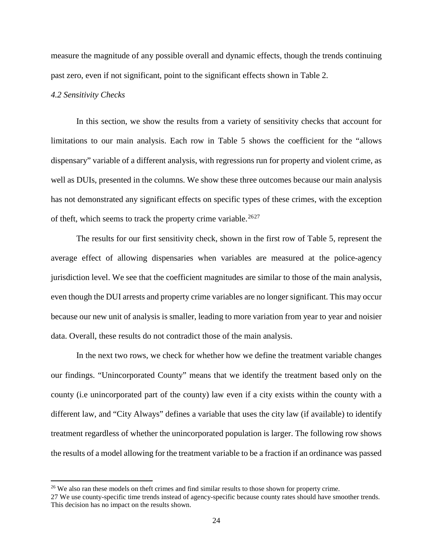measure the magnitude of any possible overall and dynamic effects, though the trends continuing past zero, even if not significant, point to the significant effects shown in Table 2.

#### *4.2 Sensitivity Checks*

 $\overline{\phantom{a}}$ 

In this section, we show the results from a variety of sensitivity checks that account for limitations to our main analysis. Each row in Table 5 shows the coefficient for the "allows dispensary" variable of a different analysis, with regressions run for property and violent crime, as well as DUIs, presented in the columns. We show these three outcomes because our main analysis has not demonstrated any significant effects on specific types of these crimes, with the exception of theft, which seems to track the property crime variable.<sup>[26](#page-26-0)[27](#page-26-1)</sup>

The results for our first sensitivity check, shown in the first row of Table 5, represent the average effect of allowing dispensaries when variables are measured at the police-agency jurisdiction level. We see that the coefficient magnitudes are similar to those of the main analysis, even though the DUI arrests and property crime variables are no longer significant. This may occur because our new unit of analysis is smaller, leading to more variation from year to year and noisier data. Overall, these results do not contradict those of the main analysis.

In the next two rows, we check for whether how we define the treatment variable changes our findings. "Unincorporated County" means that we identify the treatment based only on the county (i.e unincorporated part of the county) law even if a city exists within the county with a different law, and "City Always" defines a variable that uses the city law (if available) to identify treatment regardless of whether the unincorporated population is larger. The following row shows the results of a model allowing for the treatment variable to be a fraction if an ordinance was passed

<span id="page-26-0"></span><sup>&</sup>lt;sup>26</sup> We also ran these models on theft crimes and find similar results to those shown for property crime.

<span id="page-26-1"></span><sup>27</sup> We use county-specific time trends instead of agency-specific because county rates should have smoother trends. This decision has no impact on the results shown.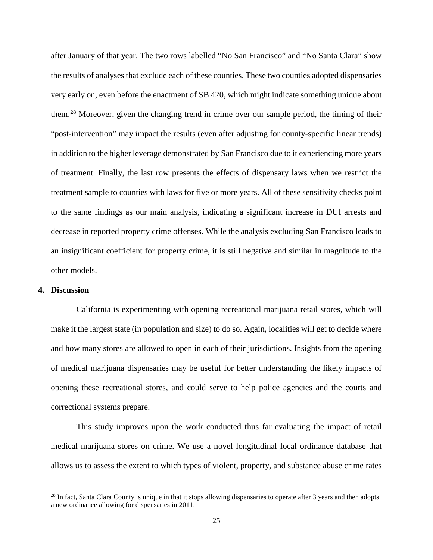after January of that year. The two rows labelled "No San Francisco" and "No Santa Clara" show the results of analyses that exclude each of these counties. These two counties adopted dispensaries very early on, even before the enactment of SB 420, which might indicate something unique about them.[28](#page-27-0) Moreover, given the changing trend in crime over our sample period, the timing of their "post-intervention" may impact the results (even after adjusting for county-specific linear trends) in addition to the higher leverage demonstrated by San Francisco due to it experiencing more years of treatment. Finally, the last row presents the effects of dispensary laws when we restrict the treatment sample to counties with laws for five or more years. All of these sensitivity checks point to the same findings as our main analysis, indicating a significant increase in DUI arrests and decrease in reported property crime offenses. While the analysis excluding San Francisco leads to an insignificant coefficient for property crime, it is still negative and similar in magnitude to the other models.

#### **4. Discussion**

l

California is experimenting with opening recreational marijuana retail stores, which will make it the largest state (in population and size) to do so. Again, localities will get to decide where and how many stores are allowed to open in each of their jurisdictions. Insights from the opening of medical marijuana dispensaries may be useful for better understanding the likely impacts of opening these recreational stores, and could serve to help police agencies and the courts and correctional systems prepare.

This study improves upon the work conducted thus far evaluating the impact of retail medical marijuana stores on crime. We use a novel longitudinal local ordinance database that allows us to assess the extent to which types of violent, property, and substance abuse crime rates

<span id="page-27-0"></span><sup>&</sup>lt;sup>28</sup> In fact, Santa Clara County is unique in that it stops allowing dispensaries to operate after  $\frac{3}{1}$  years and then adopts a new ordinance allowing for dispensaries in 2011.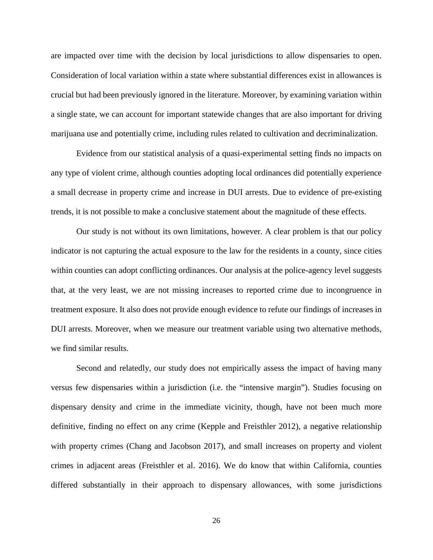are impacted over time with the decision by local jurisdictions to allow dispensaries to open. Consideration of local variation within a state where substantial differences exist in allowances is crucial but had been previously ignored in the literature. Moreover, by examining variation within a single state, we can account for important statewide changes that are also important for driving marijuana use and potentially crime, including rules related to cultivation and decriminalization.

Evidence from our statistical analysis of a quasi-experimental setting finds no impacts on any type of violent crime, although counties adopting local ordinances did potentially experience a small decrease in property crime and increase in DUI arrests. Due to evidence of pre-existing trends, it is not possible to make a conclusive statement about the magnitude of these effects.

Our study is not without its own limitations, however. A clear problem is that our policy indicator is not capturing the actual exposure to the law for the residents in a county, since cities within counties can adopt conflicting ordinances. Our analysis at the police-agency level suggests that, at the very least, we are not missing increases to reported crime due to incongruence in treatment exposure. It also does not provide enough evidence to refute our findings of increases in DUI arrests. Moreover, when we measure our treatment variable using two alternative methods, we find similar results.

Second and relatedly, our study does not empirically assess the impact of having many versus few dispensaries within a jurisdiction (i.e. the "intensive margin"). Studies focusing on dispensary density and crime in the immediate vicinity, though, have not been much more definitive, finding no effect on any crime [\(Kepple and Freisthler 2012\)](#page-33-15), a negative relationship with property crimes [\(Chang and Jacobson 2017\)](#page-32-15), and small increases on property and violent crimes in adjacent areas [\(Freisthler et al. 2016\)](#page-33-13). We do know that within California, counties differed substantially in their approach to dispensary allowances, with some jurisdictions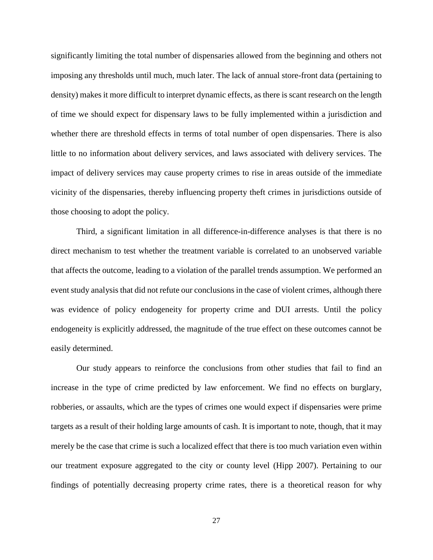significantly limiting the total number of dispensaries allowed from the beginning and others not imposing any thresholds until much, much later. The lack of annual store-front data (pertaining to density) makes it more difficult to interpret dynamic effects, as there is scant research on the length of time we should expect for dispensary laws to be fully implemented within a jurisdiction and whether there are threshold effects in terms of total number of open dispensaries. There is also little to no information about delivery services, and laws associated with delivery services. The impact of delivery services may cause property crimes to rise in areas outside of the immediate vicinity of the dispensaries, thereby influencing property theft crimes in jurisdictions outside of those choosing to adopt the policy.

Third, a significant limitation in all difference-in-difference analyses is that there is no direct mechanism to test whether the treatment variable is correlated to an unobserved variable that affects the outcome, leading to a violation of the parallel trends assumption. We performed an event study analysis that did not refute our conclusions in the case of violent crimes, although there was evidence of policy endogeneity for property crime and DUI arrests. Until the policy endogeneity is explicitly addressed, the magnitude of the true effect on these outcomes cannot be easily determined.

Our study appears to reinforce the conclusions from other studies that fail to find an increase in the type of crime predicted by law enforcement. We find no effects on burglary, robberies, or assaults, which are the types of crimes one would expect if dispensaries were prime targets as a result of their holding large amounts of cash. It is important to note, though, that it may merely be the case that crime is such a localized effect that there is too much variation even within our treatment exposure aggregated to the city or county level [\(Hipp 2007\)](#page-33-9). Pertaining to our findings of potentially decreasing property crime rates, there is a theoretical reason for why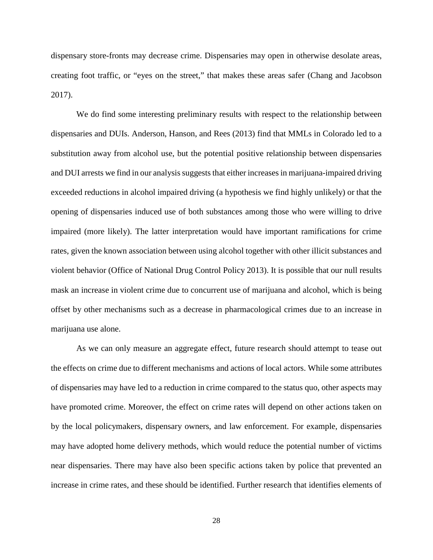dispensary store-fronts may decrease crime. Dispensaries may open in otherwise desolate areas, creating foot traffic, or "eyes on the street," that makes these areas safer [\(Chang and Jacobson](#page-32-15)  [2017\)](#page-32-15).

We do find some interesting preliminary results with respect to the relationship between dispensaries and DUIs. Anderson, Hanson, and Rees (2013) find that MMLs in Colorado led to a substitution away from alcohol use, but the potential positive relationship between dispensaries and DUI arrests we find in our analysis suggests that either increases in marijuana-impaired driving exceeded reductions in alcohol impaired driving (a hypothesis we find highly unlikely) or that the opening of dispensaries induced use of both substances among those who were willing to drive impaired (more likely). The latter interpretation would have important ramifications for crime rates, given the known association between using alcohol together with other illicit substances and violent behavior (Office of National Drug Control Policy 2013). It is possible that our null results mask an increase in violent crime due to concurrent use of marijuana and alcohol, which is being offset by other mechanisms such as a decrease in pharmacological crimes due to an increase in marijuana use alone.

As we can only measure an aggregate effect, future research should attempt to tease out the effects on crime due to different mechanisms and actions of local actors. While some attributes of dispensaries may have led to a reduction in crime compared to the status quo, other aspects may have promoted crime. Moreover, the effect on crime rates will depend on other actions taken on by the local policymakers, dispensary owners, and law enforcement. For example, dispensaries may have adopted home delivery methods, which would reduce the potential number of victims near dispensaries. There may have also been specific actions taken by police that prevented an increase in crime rates, and these should be identified. Further research that identifies elements of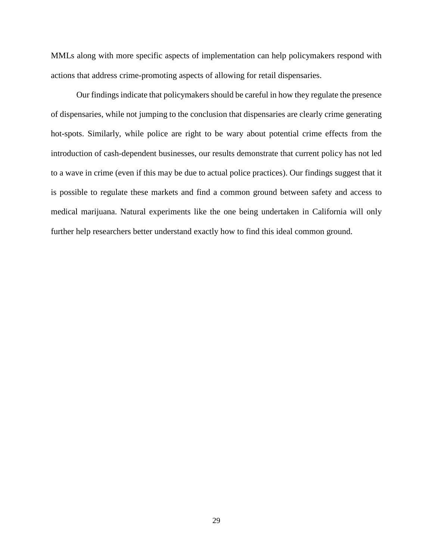MMLs along with more specific aspects of implementation can help policymakers respond with actions that address crime-promoting aspects of allowing for retail dispensaries.

Our findings indicate that policymakers should be careful in how they regulate the presence of dispensaries, while not jumping to the conclusion that dispensaries are clearly crime generating hot-spots. Similarly, while police are right to be wary about potential crime effects from the introduction of cash-dependent businesses, our results demonstrate that current policy has not led to a wave in crime (even if this may be due to actual police practices). Our findings suggest that it is possible to regulate these markets and find a common ground between safety and access to medical marijuana. Natural experiments like the one being undertaken in California will only further help researchers better understand exactly how to find this ideal common ground.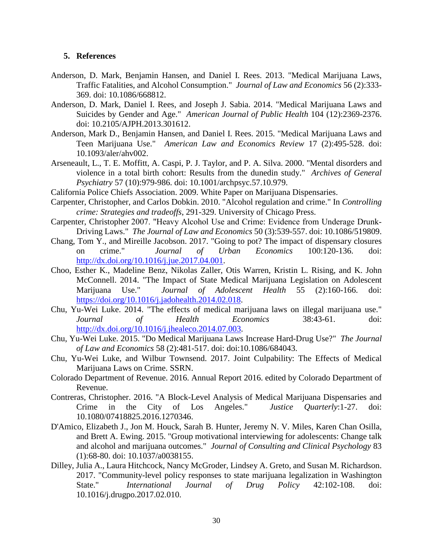#### **5. References**

- <span id="page-32-13"></span>Anderson, D. Mark, Benjamin Hansen, and Daniel I. Rees. 2013. "Medical Marijuana Laws, Traffic Fatalities, and Alcohol Consumption." *Journal of Law and Economics* 56 (2):333- 369. doi: 10.1086/668812.
- <span id="page-32-4"></span>Anderson, D. Mark, Daniel I. Rees, and Joseph J. Sabia. 2014. "Medical Marijuana Laws and Suicides by Gender and Age." *American Journal of Public Health* 104 (12):2369-2376. doi: 10.2105/AJPH.2013.301612.
- <span id="page-32-9"></span>Anderson, Mark D., Benjamin Hansen, and Daniel I. Rees. 2015. "Medical Marijuana Laws and Teen Marijuana Use." *American Law and Economics Review* 17 (2):495-528. doi: 10.1093/aler/ahv002.
- <span id="page-32-0"></span>Arseneault, L., T. E. Moffitt, A. Caspi, P. J. Taylor, and P. A. Silva. 2000. "Mental disorders and violence in a total birth cohort: Results from the dunedin study." *Archives of General Psychiatry* 57 (10):979-986. doi: 10.1001/archpsyc.57.10.979.
- <span id="page-32-1"></span>California Police Chiefs Association. 2009. White Paper on Marijuana Dispensaries.
- <span id="page-32-11"></span>Carpenter, Christopher, and Carlos Dobkin. 2010. "Alcohol regulation and crime." In *Controlling crime: Strategies and tradeoffs*, 291-329. University of Chicago Press.
- <span id="page-32-12"></span>Carpenter, Christopher 2007. "Heavy Alcohol Use and Crime: Evidence from Underage Drunk‐ Driving Laws." *The Journal of Law and Economics* 50 (3):539-557. doi: 10.1086/519809.
- <span id="page-32-15"></span>Chang, Tom Y., and Mireille Jacobson. 2017. "Going to pot? The impact of dispensary closures on crime." *Journal of Urban Economics* 100:120-136. doi: [http://dx.doi.org/10.1016/j.jue.2017.04.001.](http://dx.doi.org/10.1016/j.jue.2017.04.001)
- <span id="page-32-8"></span>Choo, Esther K., Madeline Benz, Nikolas Zaller, Otis Warren, Kristin L. Rising, and K. John McConnell. 2014. "The Impact of State Medical Marijuana Legislation on Adolescent Marijuana Use." *Journal of Adolescent Health* 55 (2):160-166. doi: [https://doi.org/10.1016/j.jadohealth.2014.02.018.](https://doi.org/10.1016/j.jadohealth.2014.02.018)
- <span id="page-32-2"></span>Chu, Yu-Wei Luke. 2014. "The effects of medical marijuana laws on illegal marijuana use." *Journal of Health Economics* 38:43-61. doi: [http://dx.doi.org/10.1016/j.jhealeco.2014.07.003.](http://dx.doi.org/10.1016/j.jhealeco.2014.07.003)
- <span id="page-32-5"></span>Chu, Yu-Wei Luke. 2015. "Do Medical Marijuana Laws Increase Hard-Drug Use?" *The Journal of Law and Economics* 58 (2):481-517. doi: doi:10.1086/684043.
- <span id="page-32-3"></span>Chu, Yu-Wei Luke, and Wilbur Townsend. 2017. Joint Culpability: The Effects of Medical Marijuana Laws on Crime. SSRN.
- <span id="page-32-7"></span>Colorado Department of Revenue. 2016. Annual Report 2016. edited by Colorado Department of Revenue.
- <span id="page-32-14"></span>Contreras, Christopher. 2016. "A Block-Level Analysis of Medical Marijuana Dispensaries and Crime in the City of Los Angeles." *Justice Quarterly*:1-27. doi: 10.1080/07418825.2016.1270346.
- <span id="page-32-10"></span>D'Amico, Elizabeth J., Jon M. Houck, Sarah B. Hunter, Jeremy N. V. Miles, Karen Chan Osilla, and Brett A. Ewing. 2015. "Group motivational interviewing for adolescents: Change talk and alcohol and marijuana outcomes." *Journal of Consulting and Clinical Psychology* 83 (1):68-80. doi: 10.1037/a0038155.
- <span id="page-32-6"></span>Dilley, Julia A., Laura Hitchcock, Nancy McGroder, Lindsey A. Greto, and Susan M. Richardson. 2017. "Community-level policy responses to state marijuana legalization in Washington State." *International Journal of Drug Policy* 42:102-108. doi: 10.1016/j.drugpo.2017.02.010.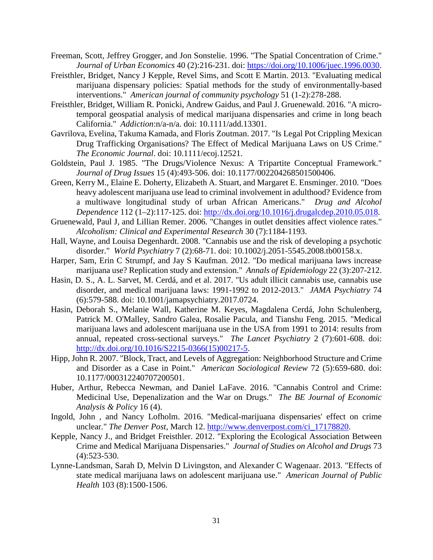- <span id="page-33-8"></span>Freeman, Scott, Jeffrey Grogger, and Jon Sonstelie. 1996. "The Spatial Concentration of Crime." *Journal of Urban Economics* 40 (2):216-231. doi: [https://doi.org/10.1006/juec.1996.0030.](https://doi.org/10.1006/juec.1996.0030)
- <span id="page-33-7"></span>Freisthler, Bridget, Nancy J Kepple, Revel Sims, and Scott E Martin. 2013. "Evaluating medical marijuana dispensary policies: Spatial methods for the study of environmentally-based interventions." *American journal of community psychology* 51 (1-2):278-288.
- <span id="page-33-13"></span>Freisthler, Bridget, William R. Ponicki, Andrew Gaidus, and Paul J. Gruenewald. 2016. "A microtemporal geospatial analysis of medical marijuana dispensaries and crime in long beach California." *Addiction*:n/a-n/a. doi: 10.1111/add.13301.
- <span id="page-33-6"></span>Gavrilova, Evelina, Takuma Kamada, and Floris Zoutman. 2017. "Is Legal Pot Crippling Mexican Drug Trafficking Organisations? The Effect of Medical Marijuana Laws on US Crime." *The Economic Journal*. doi: 10.1111/ecoj.12521.
- <span id="page-33-11"></span>Goldstein, Paul J. 1985. "The Drugs/Violence Nexus: A Tripartite Conceptual Framework." *Journal of Drug Issues* 15 (4):493-506. doi: 10.1177/002204268501500406.
- <span id="page-33-2"></span>Green, Kerry M., Elaine E. Doherty, Elizabeth A. Stuart, and Margaret E. Ensminger. 2010. "Does heavy adolescent marijuana use lead to criminal involvement in adulthood? Evidence from a multiwave longitudinal study of urban African Americans." *Drug and Alcohol Dependence* 112 (1–2):117-125. doi: [http://dx.doi.org/10.1016/j.drugalcdep.2010.05.018.](http://dx.doi.org/10.1016/j.drugalcdep.2010.05.018)
- <span id="page-33-14"></span>Gruenewald, Paul J, and Lillian Remer. 2006. "Changes in outlet densities affect violence rates." *Alcoholism: Clinical and Experimental Research* 30 (7):1184-1193.
- <span id="page-33-12"></span>Hall, Wayne, and Louisa Degenhardt. 2008. "Cannabis use and the risk of developing a psychotic disorder." *World Psychiatry* 7 (2):68-71. doi: 10.1002/j.2051-5545.2008.tb00158.x.
- <span id="page-33-3"></span>Harper, Sam, Erin C Strumpf, and Jay S Kaufman. 2012. "Do medical marijuana laws increase marijuana use? Replication study and extension." *Annals of Epidemiology* 22 (3):207-212.
- <span id="page-33-10"></span>Hasin, D. S., A. L. Sarvet, M. Cerdá, and et al. 2017. "Us adult illicit cannabis use, cannabis use disorder, and medical marijuana laws: 1991-1992 to 2012-2013." *JAMA Psychiatry* 74 (6):579-588. doi: 10.1001/jamapsychiatry.2017.0724.
- <span id="page-33-4"></span>Hasin, Deborah S., Melanie Wall, Katherine M. Keyes, Magdalena Cerdá, John Schulenberg, Patrick M. O'Malley, Sandro Galea, Rosalie Pacula, and Tianshu Feng. 2015. "Medical marijuana laws and adolescent marijuana use in the USA from 1991 to 2014: results from annual, repeated cross-sectional surveys." *The Lancet Psychiatry* 2 (7):601-608. doi: [http://dx.doi.org/10.1016/S2215-0366\(15\)00217-5.](http://dx.doi.org/10.1016/S2215-0366(15)00217-5)
- <span id="page-33-9"></span>Hipp, John R. 2007. "Block, Tract, and Levels of Aggregation: Neighborhood Structure and Crime and Disorder as a Case in Point." *American Sociological Review* 72 (5):659-680. doi: 10.1177/000312240707200501.
- <span id="page-33-1"></span>Huber, Arthur, Rebecca Newman, and Daniel LaFave. 2016. "Cannabis Control and Crime: Medicinal Use, Depenalization and the War on Drugs." *The BE Journal of Economic Analysis & Policy* 16 (4).
- <span id="page-33-0"></span>Ingold, John , and Nancy Lofholm. 2016. "Medical-marijuana dispensaries' effect on crime unclear." *The Denver Post*, March 12. [http://www.denverpost.com/ci\\_17178820.](http://www.denverpost.com/ci_17178820)
- <span id="page-33-15"></span>Kepple, Nancy J., and Bridget Freisthler. 2012. "Exploring the Ecological Association Between Crime and Medical Marijuana Dispensaries." *Journal of Studies on Alcohol and Drugs* 73 (4):523-530.
- <span id="page-33-5"></span>Lynne-Landsman, Sarah D, Melvin D Livingston, and Alexander C Wagenaar. 2013. "Effects of state medical marijuana laws on adolescent marijuana use." *American Journal of Public Health* 103 (8):1500-1506.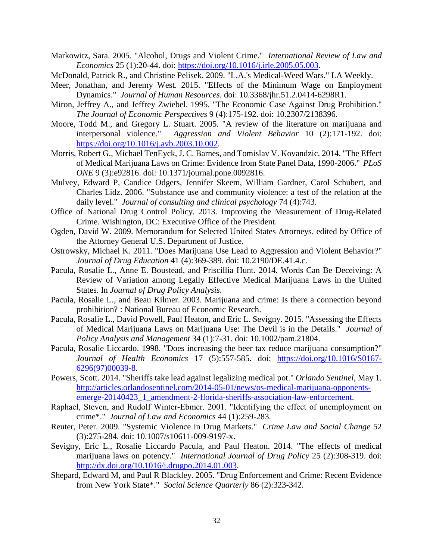- <span id="page-34-7"></span>Markowitz, Sara. 2005. "Alcohol, Drugs and Violent Crime." *International Review of Law and Economics* 25 (1):20-44. doi: [https://doi.org/10.1016/j.irle.2005.05.003.](https://doi.org/10.1016/j.irle.2005.05.003)
- <span id="page-34-15"></span>McDonald, Patrick R., and Christine Pelisek. 2009. "L.A.'s Medical-Weed Wars." LA Weekly.
- <span id="page-34-18"></span>Meer, Jonathan, and Jeremy West. 2015. "Effects of the Minimum Wage on Employment Dynamics." *Journal of Human Resources*. doi: 10.3368/jhr.51.2.0414-6298R1.
- <span id="page-34-2"></span>Miron, Jeffrey A., and Jeffrey Zwiebel. 1995. "The Economic Case Against Drug Prohibition." *The Journal of Economic Perspectives* 9 (4):175-192. doi: 10.2307/2138396.
- <span id="page-34-10"></span>Moore, Todd M., and Gregory L. Stuart. 2005. "A review of the literature on marijuana and interpersonal violence." *Aggression and Violent Behavior* 10 (2):171-192. doi: [https://doi.org/10.1016/j.avb.2003.10.002.](https://doi.org/10.1016/j.avb.2003.10.002)
- <span id="page-34-6"></span>Morris, Robert G., Michael TenEyck, J. C. Barnes, and Tomislav V. Kovandzic. 2014. "The Effect of Medical Marijuana Laws on Crime: Evidence from State Panel Data, 1990-2006." *PLoS ONE* 9 (3):e92816. doi: 10.1371/journal.pone.0092816.
- <span id="page-34-0"></span>Mulvey, Edward P, Candice Odgers, Jennifer Skeem, William Gardner, Carol Schubert, and Charles Lidz. 2006. "Substance use and community violence: a test of the relation at the daily level." *Journal of consulting and clinical psychology* 74 (4):743.
- <span id="page-34-8"></span>Office of National Drug Control Policy. 2013. Improving the Measurement of Drug-Related Crime. Wishington, DC: Executive Office of the President.
- <span id="page-34-16"></span>Ogden, David W. 2009. Memorandum for Selected United States Attorneys. edited by Office of the Attorney General U.S. Department of Justice.
- <span id="page-34-11"></span>Ostrowsky, Michael K. 2011. "Does Marijuana Use Lead to Aggression and Violent Behavior?" *Journal of Drug Education* 41 (4):369-389. doi: 10.2190/DE.41.4.c.
- <span id="page-34-9"></span>Pacula, Rosalie L., Anne E. Boustead, and Priscillia Hunt. 2014. Words Can Be Deceiving: A Review of Variation among Legally Effective Medical Marijuana Laws in the United States. In *Journal of Drug Policy Analysis*.
- <span id="page-34-4"></span>Pacula, Rosalie L., and Beau Kilmer. 2003. Marijuana and crime: Is there a connection beyond prohibition? : National Bureau of Economic Research.
- <span id="page-34-5"></span>Pacula, Rosalie L., David Powell, Paul Heaton, and Eric L. Sevigny. 2015. "Assessing the Effects of Medical Marijuana Laws on Marijuana Use: The Devil is in the Details." *Journal of Policy Analysis and Management* 34 (1):7-31. doi: 10.1002/pam.21804.
- <span id="page-34-12"></span>Pacula, Rosalie Liccardo. 1998. "Does increasing the beer tax reduce marijuana consumption?" *Journal of Health Economics* 17 (5):557-585. doi: [https://doi.org/10.1016/S0167-](https://doi.org/10.1016/S0167-6296(97)00039-8) [6296\(97\)00039-8.](https://doi.org/10.1016/S0167-6296(97)00039-8)
- <span id="page-34-1"></span>Powers, Scott. 2014. "Sheriffs take lead against legalizing medical pot." *Orlando Sentinel*, May 1. [http://articles.orlandosentinel.com/2014-05-01/news/os-medical-marijuana-opponents](http://articles.orlandosentinel.com/2014-05-01/news/os-medical-marijuana-opponents-emerge-20140423_1_amendment-2-florida-sheriffs-association-law-enforcement)[emerge-20140423\\_1\\_amendment-2-florida-sheriffs-association-law-enforcement.](http://articles.orlandosentinel.com/2014-05-01/news/os-medical-marijuana-opponents-emerge-20140423_1_amendment-2-florida-sheriffs-association-law-enforcement)
- <span id="page-34-17"></span>Raphael, Steven, and Rudolf Winter‐Ebmer. 2001. "Identifying the effect of unemployment on crime\*." *Journal of Law and Economics* 44 (1):259-283.
- <span id="page-34-14"></span>Reuter, Peter. 2009. "Systemic Violence in Drug Markets." *Crime Law and Social Change* 52 (3):275-284. doi: 10.1007/s10611-009-9197-x.
- <span id="page-34-13"></span>Sevigny, Eric L., Rosalie Liccardo Pacula, and Paul Heaton. 2014. "The effects of medical marijuana laws on potency." *International Journal of Drug Policy* 25 (2):308-319. doi: [http://dx.doi.org/10.1016/j.drugpo.2014.01.003.](http://dx.doi.org/10.1016/j.drugpo.2014.01.003)
- <span id="page-34-3"></span>Shepard, Edward M, and Paul R Blackley. 2005. "Drug Enforcement and Crime: Recent Evidence from New York State\*." *Social Science Quarterly* 86 (2):323-342.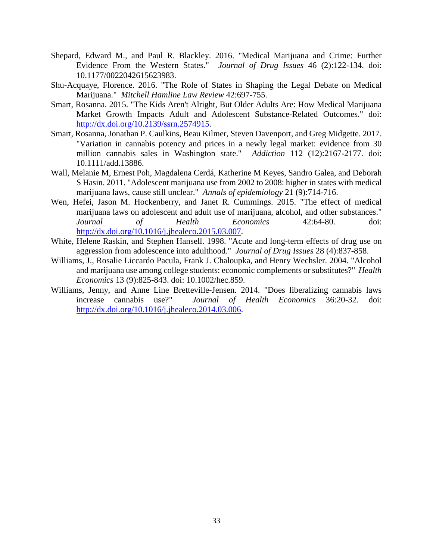- <span id="page-35-2"></span>Shepard, Edward M., and Paul R. Blackley. 2016. "Medical Marijuana and Crime: Further Evidence From the Western States." *Journal of Drug Issues* 46 (2):122-134. doi: 10.1177/0022042615623983.
- <span id="page-35-4"></span>Shu-Acquaye, Florence. 2016. "The Role of States in Shaping the Legal Debate on Medical Marijuana." *Mitchell Hamline Law Review* 42:697-755.
- <span id="page-35-3"></span>Smart, Rosanna. 2015. "The Kids Aren't Alright, But Older Adults Are: How Medical Marijuana Market Growth Impacts Adult and Adolescent Substance-Related Outcomes." doi: [http://dx.doi.org/10.2139/ssrn.2574915.](http://dx.doi.org/10.2139/ssrn.2574915)
- <span id="page-35-7"></span>Smart, Rosanna, Jonathan P. Caulkins, Beau Kilmer, Steven Davenport, and Greg Midgette. 2017. "Variation in cannabis potency and prices in a newly legal market: evidence from 30 million cannabis sales in Washington state." *Addiction* 112 (12):2167-2177. doi: 10.1111/add.13886.
- <span id="page-35-0"></span>Wall, Melanie M, Ernest Poh, Magdalena Cerdá, Katherine M Keyes, Sandro Galea, and Deborah S Hasin. 2011. "Adolescent marijuana use from 2002 to 2008: higher in states with medical marijuana laws, cause still unclear." *Annals of epidemiology* 21 (9):714-716.
- <span id="page-35-1"></span>Wen, Hefei, Jason M. Hockenberry, and Janet R. Cummings. 2015. "The effect of medical marijuana laws on adolescent and adult use of marijuana, alcohol, and other substances." *Journal of Health Economics* 42:64-80. doi: [http://dx.doi.org/10.1016/j.jhealeco.2015.03.007.](http://dx.doi.org/10.1016/j.jhealeco.2015.03.007)
- <span id="page-35-5"></span>White, Helene Raskin, and Stephen Hansell. 1998. "Acute and long-term effects of drug use on aggression from adolescence into adulthood." *Journal of Drug Issues* 28 (4):837-858.
- <span id="page-35-6"></span>Williams, J., Rosalie Liccardo Pacula, Frank J. Chaloupka, and Henry Wechsler. 2004. "Alcohol and marijuana use among college students: economic complements or substitutes?" *Health Economics* 13 (9):825-843. doi: 10.1002/hec.859.
- <span id="page-35-8"></span>Williams, Jenny, and Anne Line Bretteville-Jensen. 2014. "Does liberalizing cannabis laws increase cannabis use?" *Journal of Health Economics* 36:20-32. doi: [http://dx.doi.org/10.1016/j.jhealeco.2014.03.006.](http://dx.doi.org/10.1016/j.jhealeco.2014.03.006)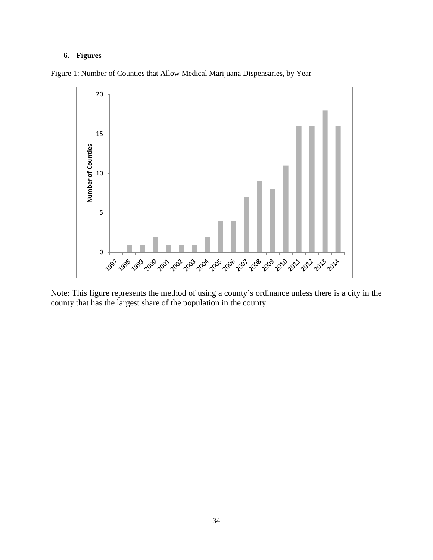### **6. Figures**



Figure 1: Number of Counties that Allow Medical Marijuana Dispensaries, by Year

Note: This figure represents the method of using a county's ordinance unless there is a city in the county that has the largest share of the population in the county.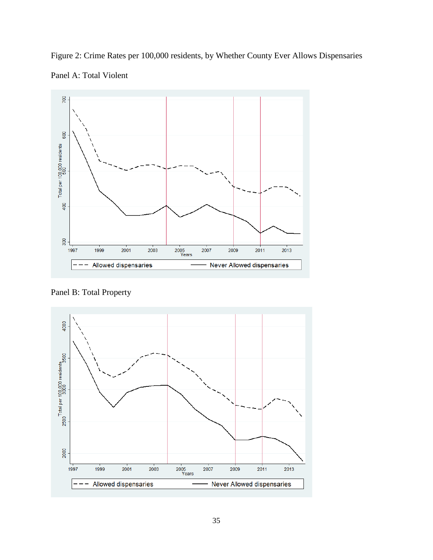Figure 2: Crime Rates per 100,000 residents, by Whether County Ever Allows Dispensaries Panel A: Total Violent



Panel B: Total Property

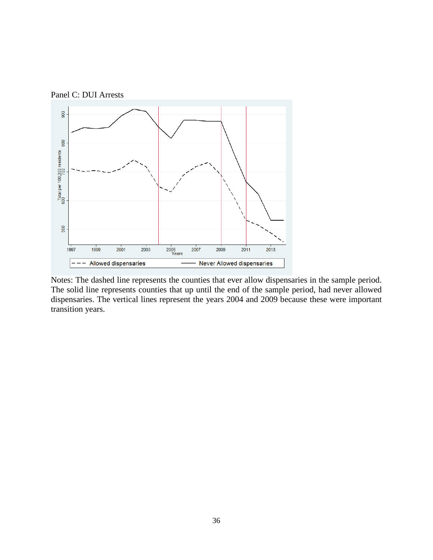



Notes: The dashed line represents the counties that ever allow dispensaries in the sample period. The solid line represents counties that up until the end of the sample period, had never allowed dispensaries. The vertical lines represent the years 2004 and 2009 because these were important transition years.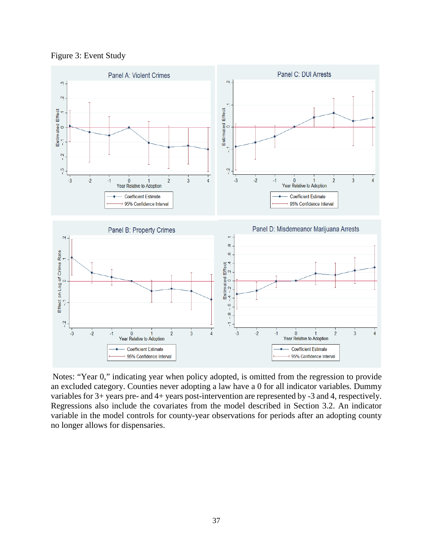Figure 3: Event Study



Notes: "Year 0," indicating year when policy adopted, is omitted from the regression to provide an excluded category. Counties never adopting a law have a 0 for all indicator variables. Dummy variables for 3+ years pre- and 4+ years post-intervention are represented by -3 and 4, respectively. Regressions also include the covariates from the model described in Section 3.2. An indicator variable in the model controls for county-year observations for periods after an adopting county no longer allows for dispensaries.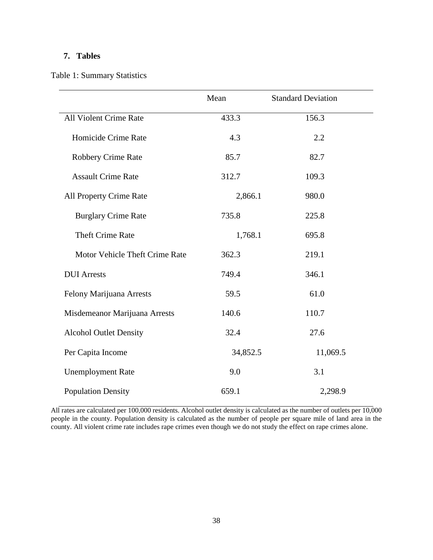### **7. Tables**

Table 1: Summary Statistics

|                                | Mean     | <b>Standard Deviation</b> |
|--------------------------------|----------|---------------------------|
| All Violent Crime Rate         | 433.3    | 156.3                     |
| Homicide Crime Rate            | 4.3      | 2.2                       |
| <b>Robbery Crime Rate</b>      | 85.7     | 82.7                      |
| <b>Assault Crime Rate</b>      | 312.7    | 109.3                     |
| All Property Crime Rate        | 2,866.1  | 980.0                     |
| <b>Burglary Crime Rate</b>     | 735.8    | 225.8                     |
| <b>Theft Crime Rate</b>        | 1,768.1  | 695.8                     |
| Motor Vehicle Theft Crime Rate | 362.3    | 219.1                     |
| <b>DUI</b> Arrests             | 749.4    | 346.1                     |
| Felony Marijuana Arrests       | 59.5     | 61.0                      |
| Misdemeanor Marijuana Arrests  | 140.6    | 110.7                     |
| <b>Alcohol Outlet Density</b>  | 32.4     | 27.6                      |
| Per Capita Income              | 34,852.5 | 11,069.5                  |
| <b>Unemployment Rate</b>       | 9.0      | 3.1                       |
| <b>Population Density</b>      | 659.1    | 2,298.9                   |

All rates are calculated per 100,000 residents. Alcohol outlet density is calculated as the number of outlets per 10,000 people in the county. Population density is calculated as the number of people per square mile of land area in the county. All violent crime rate includes rape crimes even though we do not study the effect on rape crimes alone.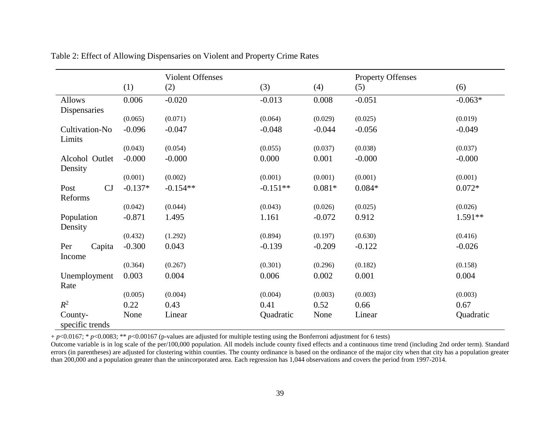|                       |           | <b>Violent Offenses</b> |            |          | <b>Property Offenses</b> |           |
|-----------------------|-----------|-------------------------|------------|----------|--------------------------|-----------|
|                       | (1)       | (2)                     | (3)        | (4)      | (5)                      | (6)       |
| <b>Allows</b>         | 0.006     | $-0.020$                | $-0.013$   | 0.008    | $-0.051$                 | $-0.063*$ |
| Dispensaries          |           |                         |            |          |                          |           |
|                       | (0.065)   | (0.071)                 | (0.064)    | (0.029)  | (0.025)                  | (0.019)   |
| Cultivation-No        | $-0.096$  | $-0.047$                | $-0.048$   | $-0.044$ | $-0.056$                 | $-0.049$  |
| Limits                |           |                         |            |          |                          |           |
|                       | (0.043)   | (0.054)                 | (0.055)    | (0.037)  | (0.038)                  | (0.037)   |
| Alcohol Outlet        | $-0.000$  | $-0.000$                | 0.000      | 0.001    | $-0.000$                 | $-0.000$  |
| Density               |           |                         |            |          |                          |           |
|                       | (0.001)   | (0.002)                 | (0.001)    | (0.001)  | (0.001)                  | (0.001)   |
| CJ<br>Post<br>Reforms | $-0.137*$ | $-0.154**$              | $-0.151**$ | $0.081*$ | $0.084*$                 | $0.072*$  |
|                       | (0.042)   | (0.044)                 | (0.043)    | (0.026)  | (0.025)                  | (0.026)   |
| Population            | $-0.871$  | 1.495                   | 1.161      | $-0.072$ | 0.912                    | $1.591**$ |
| Density               |           |                         |            |          |                          |           |
|                       | (0.432)   | (1.292)                 | (0.894)    | (0.197)  | (0.630)                  | (0.416)   |
| Per<br>Capita         | $-0.300$  | 0.043                   | $-0.139$   | $-0.209$ | $-0.122$                 | $-0.026$  |
| Income                |           |                         |            |          |                          |           |
|                       | (0.364)   | (0.267)                 | (0.301)    | (0.296)  | (0.182)                  | (0.158)   |
| Unemployment<br>Rate  | 0.003     | 0.004                   | 0.006      | 0.002    | 0.001                    | 0.004     |
|                       | (0.005)   | (0.004)                 | (0.004)    | (0.003)  | (0.003)                  | (0.003)   |
| $R^2$                 | 0.22      | 0.43                    | 0.41       | 0.52     | 0.66                     | 0.67      |
| County-               | None      | Linear                  | Quadratic  | None     | Linear                   | Quadratic |
| specific trends       |           |                         |            |          |                          |           |

Table 2: Effect of Allowing Dispensaries on Violent and Property Crime Rates

+ *p*<0.0167; \* *p*<0.0083; \*\* *p*<0.00167 (p-values are adjusted for multiple testing using the Bonferroni adjustment for 6 tests)

Outcome variable is in log scale of the per/100,000 population. All models include county fixed effects and a continuous time trend (including 2nd order term). Standard errors (in parentheses) are adjusted for clustering within counties. The county ordinance is based on the ordinance of the major city when that city has a population greater than 200,000 and a population greater than the unincorporated area. Each regression has 1,044 observations and covers the period from 1997-2014.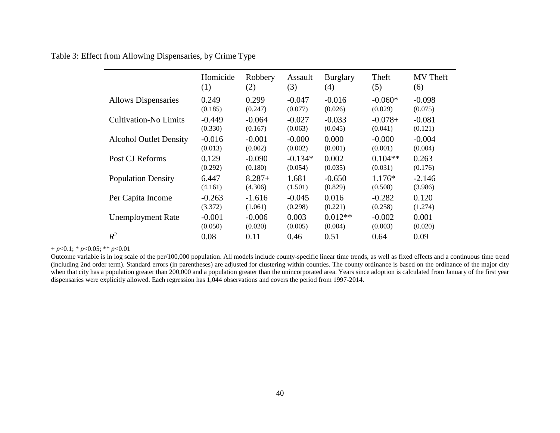Table 3: Effect from Allowing Dispensaries, by Crime Type

|                               | Homicide | Robbery  | Assault   | <b>Burglary</b> | Theft     | MV Theft |
|-------------------------------|----------|----------|-----------|-----------------|-----------|----------|
|                               | (1)      | (2)      | (3)       | (4)             | (5)       | (6)      |
| <b>Allows Dispensaries</b>    | 0.249    | 0.299    | $-0.047$  | $-0.016$        | $-0.060*$ | $-0.098$ |
|                               | (0.185)  | (0.247)  | (0.077)   | (0.026)         | (0.029)   | (0.075)  |
| <b>Cultivation-No Limits</b>  | $-0.449$ | $-0.064$ | $-0.027$  | $-0.033$        | $-0.078+$ | $-0.081$ |
|                               | (0.330)  | (0.167)  | (0.063)   | (0.045)         | (0.041)   | (0.121)  |
| <b>Alcohol Outlet Density</b> | $-0.016$ | $-0.001$ | $-0.000$  | 0.000           | $-0.000$  | $-0.004$ |
|                               | (0.013)  | (0.002)  | (0.002)   | (0.001)         | (0.001)   | (0.004)  |
| Post CJ Reforms               | 0.129    | $-0.090$ | $-0.134*$ | 0.002           | $0.104**$ | 0.263    |
|                               | (0.292)  | (0.180)  | (0.054)   | (0.035)         | (0.031)   | (0.176)  |
| <b>Population Density</b>     | 6.447    | $8.287+$ | 1.681     | $-0.650$        | $1.176*$  | $-2.146$ |
|                               | (4.161)  | (4.306)  | (1.501)   | (0.829)         | (0.508)   | (3.986)  |
| Per Capita Income             | $-0.263$ | $-1.616$ | $-0.045$  | 0.016           | $-0.282$  | 0.120    |
|                               | (3.372)  | (1.061)  | (0.298)   | (0.221)         | (0.258)   | (1.274)  |
| <b>Unemployment Rate</b>      | $-0.001$ | $-0.006$ | 0.003     | $0.012**$       | $-0.002$  | 0.001    |
|                               | (0.050)  | (0.020)  | (0.005)   | (0.004)         | (0.003)   | (0.020)  |
| $R^2$                         | 0.08     | 0.11     | 0.46      | 0.51            | 0.64      | 0.09     |

+ *p*<0.1; \* *p*<0.05; \*\* *p*<0.01

Outcome variable is in log scale of the per/100,000 population. All models include county-specific linear time trends, as well as fixed effects and a continuous time trend (including 2nd order term). Standard errors (in parentheses) are adjusted for clustering within counties. The county ordinance is based on the ordinance of the major city when that city has a population greater than 200,000 and a population greater than the unincorporated area. Years since adoption is calculated from January of the first year dispensaries were explicitly allowed. Each regression has 1,044 observations and covers the period from 1997-2014.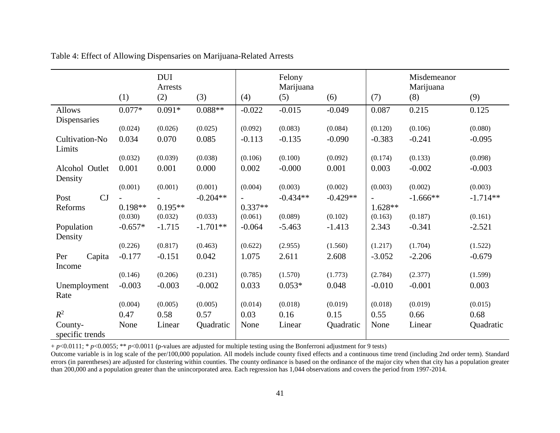|                           |           | <b>DUI</b><br>Arrests |            |           | Felony<br>Marijuana |            |           | Misdemeanor<br>Marijuana |            |
|---------------------------|-----------|-----------------------|------------|-----------|---------------------|------------|-----------|--------------------------|------------|
|                           | (1)       | (2)                   | (3)        | (4)       | (5)                 | (6)        | (7)       | (8)                      | (9)        |
| Allows                    | $0.077*$  | $0.091*$              | $0.088**$  | $-0.022$  | $-0.015$            | $-0.049$   | 0.087     | 0.215                    | 0.125      |
| Dispensaries              |           |                       |            |           |                     |            |           |                          |            |
|                           | (0.024)   | (0.026)               | (0.025)    | (0.092)   | (0.083)             | (0.084)    | (0.120)   | (0.106)                  | (0.080)    |
| Cultivation-No<br>Limits  | 0.034     | 0.070                 | 0.085      | $-0.113$  | $-0.135$            | $-0.090$   | $-0.383$  | $-0.241$                 | $-0.095$   |
|                           | (0.032)   | (0.039)               | (0.038)    | (0.106)   | (0.100)             | (0.092)    | (0.174)   | (0.133)                  | (0.098)    |
| Alcohol Outlet<br>Density | 0.001     | 0.001                 | 0.000      | 0.002     | $-0.000$            | 0.001      | 0.003     | $-0.002$                 | $-0.003$   |
|                           | (0.001)   | (0.001)               | (0.001)    | (0.004)   | (0.003)             | (0.002)    | (0.003)   | (0.002)                  | (0.003)    |
| CJ<br>Post                |           |                       | $-0.204**$ |           | $-0.434**$          | $-0.429**$ |           | $-1.666**$               | $-1.714**$ |
| Reforms                   | $0.198**$ | $0.195**$             |            | $0.337**$ |                     |            | $1.628**$ |                          |            |
|                           | (0.030)   | (0.032)               | (0.033)    | (0.061)   | (0.089)             | (0.102)    | (0.163)   | (0.187)                  | (0.161)    |
| Population                | $-0.657*$ | $-1.715$              | $-1.701**$ | $-0.064$  | $-5.463$            | $-1.413$   | 2.343     | $-0.341$                 | $-2.521$   |
| Density                   |           |                       |            |           |                     |            |           |                          |            |
|                           | (0.226)   | (0.817)               | (0.463)    | (0.622)   | (2.955)             | (1.560)    | (1.217)   | (1.704)                  | (1.522)    |
| Per<br>Capita             | $-0.177$  | $-0.151$              | 0.042      | 1.075     | 2.611               | 2.608      | $-3.052$  | $-2.206$                 | $-0.679$   |
| Income                    |           |                       |            |           |                     |            |           |                          |            |
|                           | (0.146)   | (0.206)               | (0.231)    | (0.785)   | (1.570)             | (1.773)    | (2.784)   | (2.377)                  | (1.599)    |
| Unemployment<br>Rate      | $-0.003$  | $-0.003$              | $-0.002$   | 0.033     | $0.053*$            | 0.048      | $-0.010$  | $-0.001$                 | 0.003      |
|                           | (0.004)   | (0.005)               | (0.005)    | (0.014)   | (0.018)             | (0.019)    | (0.018)   | (0.019)                  | (0.015)    |
| $R^2$                     | 0.47      | 0.58                  | 0.57       | 0.03      | 0.16                | 0.15       | 0.55      | 0.66                     | 0.68       |
| County-                   | None      | Linear                | Quadratic  | None      | Linear              | Quadratic  | None      | Linear                   | Quadratic  |
| specific trends           |           |                       |            |           |                     |            |           |                          |            |

Table 4: Effect of Allowing Dispensaries on Marijuana-Related Arrests

+ *p*<0.0111; \* *p*<0.0055; \*\* *p*<0.0011 (p-values are adjusted for multiple testing using the Bonferroni adjustment for 9 tests)

Outcome variable is in log scale of the per/100,000 population. All models include county fixed effects and a continuous time trend (including 2nd order term). Standard errors (in parentheses) are adjusted for clustering within counties. The county ordinance is based on the ordinance of the major city when that city has a population greater than 200,000 and a population greater than the unincorporated area. Each regression has 1,044 observations and covers the period from 1997-2014.